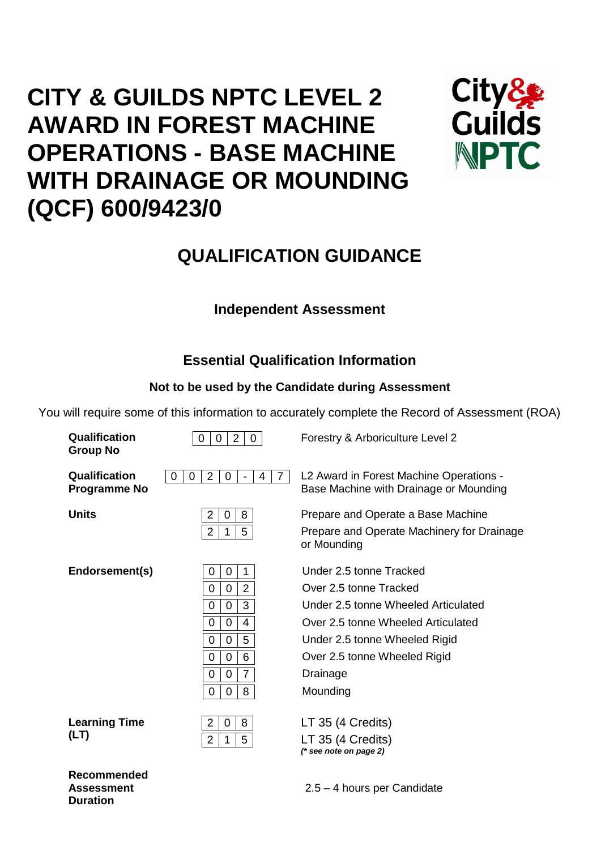# **CITY & GUILDS NPTC LEVEL 2 AWARD IN FOREST MACHINE OPERATIONS - BASE MACHINE WITH DRAINAGE OR MOUNDING (QCF) 600/9423/0**



## **QUALIFICATION GUIDANCE**

## **Independent Assessment**

## **Essential Qualification Information**

## **Not to be used by the Candidate during Assessment**

You will require some of this information to accurately complete the Record of Assessment (ROA)

| Qualification<br><b>Group No</b>     | $\overline{2}$<br>$\mathbf 0$<br>$\mathbf{0}$<br>0                                                                                | Forestry & Arboriculture Level 2                                                                                                                                                                                        |
|--------------------------------------|-----------------------------------------------------------------------------------------------------------------------------------|-------------------------------------------------------------------------------------------------------------------------------------------------------------------------------------------------------------------------|
| Qualification<br><b>Programme No</b> | $\overline{2}$<br>$\overline{7}$<br>$\mathbf 0$<br>0<br>0<br>4<br>$\blacksquare$                                                  | L2 Award in Forest Machine Operations -<br>Base Machine with Drainage or Mounding                                                                                                                                       |
| <b>Units</b>                         | 2<br>8<br>0<br>$\overline{2}$<br>5<br>1                                                                                           | Prepare and Operate a Base Machine<br>Prepare and Operate Machinery for Drainage<br>or Mounding                                                                                                                         |
| Endorsement(s)                       | 0<br>1<br>0<br>$\overline{2}$<br>0<br>0<br>3<br>0<br>0<br>0<br>0<br>4<br>5<br>0<br>0<br>6<br>0<br>0<br>7<br>0<br>0<br>8<br>0<br>0 | Under 2.5 tonne Tracked<br>Over 2.5 tonne Tracked<br>Under 2.5 tonne Wheeled Articulated<br>Over 2.5 tonne Wheeled Articulated<br>Under 2.5 tonne Wheeled Rigid<br>Over 2.5 tonne Wheeled Rigid<br>Drainage<br>Mounding |
| <b>Learning Time</b><br>(LT)         | 8<br>$\overline{2}$<br>0<br>$\overline{2}$<br>5<br>1                                                                              | LT 35 (4 Credits)<br>LT 35 (4 Credits)<br>$(*$ see note on page 2)                                                                                                                                                      |
| Recommended                          |                                                                                                                                   |                                                                                                                                                                                                                         |

**Recommended Assessment Duration**

2.5 – 4 hours per Candidate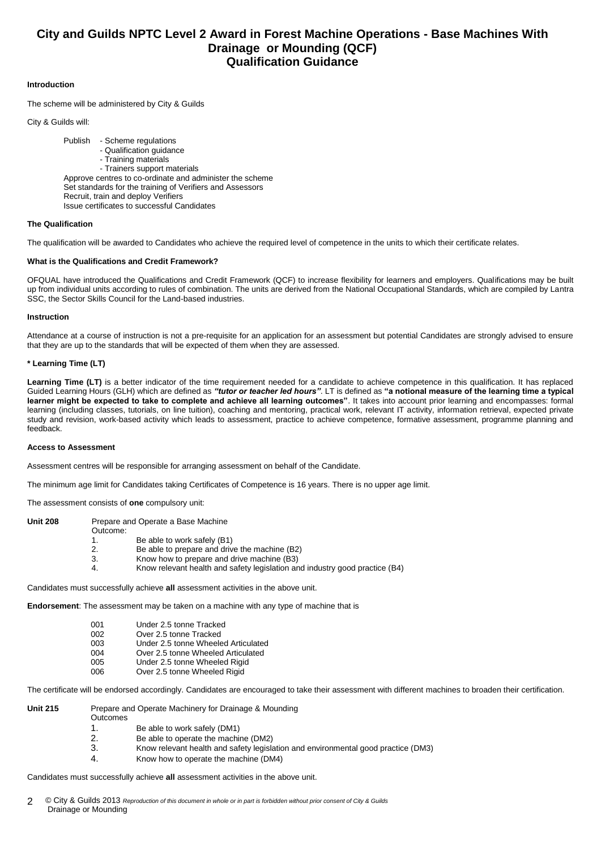### **City and Guilds NPTC Level 2 Award in Forest Machine Operations - Base Machines With Drainage or Mounding (QCF) Qualification Guidance**

#### **Introduction**

The scheme will be administered by City & Guilds

City & Guilds will:

Publish - Scheme regulations - Qualification guidance - Training materials - Trainers support materials Approve centres to co-ordinate and administer the scheme Set standards for the training of Verifiers and Assessors Recruit, train and deploy Verifiers Issue certificates to successful Candidates

#### **The Qualification**

The qualification will be awarded to Candidates who achieve the required level of competence in the units to which their certificate relates.

#### **What is the Qualifications and Credit Framework?**

OFQUAL have introduced the Qualifications and Credit Framework (QCF) to increase flexibility for learners and employers. Qualifications may be built up from individual units according to rules of combination. The units are derived from the National Occupational Standards, which are compiled by Lantra SSC, the Sector Skills Council for the Land-based industries.

#### **Instruction**

Attendance at a course of instruction is not a pre-requisite for an application for an assessment but potential Candidates are strongly advised to ensure that they are up to the standards that will be expected of them when they are assessed.

#### **\* Learning Time (LT)**

Learning Time (LT) is a better indicator of the time requirement needed for a candidate to achieve competence in this qualification. It has replaced Guided Learning Hours (GLH) which are defined as *"tutor or teacher led hours"*. LT is defined as **"a notional measure of the learning time a typical learner might be expected to take to complete and achieve all learning outcomes"**. It takes into account prior learning and encompasses: formal learning (including classes, tutorials, on line tuition), coaching and mentoring, practical work, relevant IT activity, information retrieval, expected private study and revision, work-based activity which leads to assessment, practice to achieve competence, formative assessment, programme planning and feedback.

#### **Access to Assessment**

Assessment centres will be responsible for arranging assessment on behalf of the Candidate.

The minimum age limit for Candidates taking Certificates of Competence is 16 years. There is no upper age limit.

The assessment consists of **one** compulsory unit:

| <b>Unit 208</b> |          | Prepare and Operate a Base Machine                                          |
|-----------------|----------|-----------------------------------------------------------------------------|
|                 | Outcome: |                                                                             |
|                 |          | Be able to work safely (B1)                                                 |
|                 | 2.       | Be able to prepare and drive the machine (B2)                               |
|                 | 3.       | Know how to prepare and drive machine (B3)                                  |
|                 | 4.       | Know relevant health and safety legislation and industry good practice (B4) |

Candidates must successfully achieve **all** assessment activities in the above unit.

**Endorsement**: The assessment may be taken on a machine with any type of machine that is

| 001 | Under 2.5 tonne Tracked             |
|-----|-------------------------------------|
| 002 | Over 2.5 tonne Tracked              |
| 003 | Under 2.5 tonne Wheeled Articulated |
| 004 | Over 2.5 tonne Wheeled Articulated  |
| 005 | Under 2.5 tonne Wheeled Rigid       |
| 006 | Over 2.5 tonne Wheeled Rigid        |

The certificate will be endorsed accordingly. Candidates are encouraged to take their assessment with different machines to broaden their certification.

- Prepare and Operate Machinery for Drainage & Mounding
	- **Outcomes**
	- 1. Be able to work safely (DM1)<br>2. Be able to operate the machi Be able to operate the machine (DM2)
	- 3. Know relevant health and safety legislation and environmental good practice (DM3)
	- 4. Know how to operate the machine (DM4)

Candidates must successfully achieve **all** assessment activities in the above unit.

<sup>©</sup> City & Guilds 2013 *Reproduction of this document in whole or in part is forbidden without prior consent of City & Guilds* Drainage or Mounding 2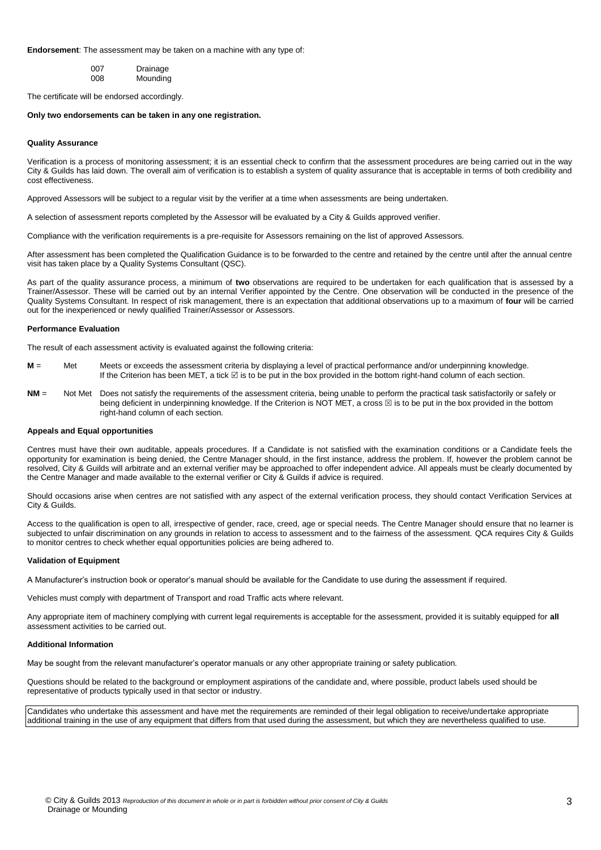#### **Endorsement**: The assessment may be taken on a machine with any type of:

| 007 | Drainage |
|-----|----------|
| 008 | Mounding |

The certificate will be endorsed accordingly.

#### **Only two endorsements can be taken in any one registration.**

#### **Quality Assurance**

Verification is a process of monitoring assessment; it is an essential check to confirm that the assessment procedures are being carried out in the way City & Guilds has laid down. The overall aim of verification is to establish a system of quality assurance that is acceptable in terms of both credibility and cost effectiveness.

Approved Assessors will be subject to a regular visit by the verifier at a time when assessments are being undertaken.

A selection of assessment reports completed by the Assessor will be evaluated by a City & Guilds approved verifier.

Compliance with the verification requirements is a pre-requisite for Assessors remaining on the list of approved Assessors.

After assessment has been completed the Qualification Guidance is to be forwarded to the centre and retained by the centre until after the annual centre visit has taken place by a Quality Systems Consultant (QSC).

As part of the quality assurance process, a minimum of **two** observations are required to be undertaken for each qualification that is assessed by a Trainer/Assessor. These will be carried out by an internal Verifier appointed by the Centre. One observation will be conducted in the presence of the Quality Systems Consultant. In respect of risk management, there is an expectation that additional observations up to a maximum of **four** will be carried out for the inexperienced or newly qualified Trainer/Assessor or Assessors.

#### **Performance Evaluation**

The result of each assessment activity is evaluated against the following criteria:

- **M** = Met Meets or exceeds the assessment criteria by displaying a level of practical performance and/or underpinning knowledge. If the Criterion has been MET, a tick  $\boxdot$  is to be put in the box provided in the bottom right-hand column of each section.
- **NM** = Not Met Does not satisfy the requirements of the assessment criteria, being unable to perform the practical task satisfactorily or safely or being deficient in underpinning knowledge. If the Criterion is NOT MET, a cross  $\boxtimes$  is to be put in the box provided in the bottom right-hand column of each section.

#### **Appeals and Equal opportunities**

Centres must have their own auditable, appeals procedures. If a Candidate is not satisfied with the examination conditions or a Candidate feels the opportunity for examination is being denied, the Centre Manager should, in the first instance, address the problem. If, however the problem cannot be resolved, City & Guilds will arbitrate and an external verifier may be approached to offer independent advice. All appeals must be clearly documented by the Centre Manager and made available to the external verifier or City & Guilds if advice is required.

Should occasions arise when centres are not satisfied with any aspect of the external verification process, they should contact Verification Services at City & Guilds.

Access to the qualification is open to all, irrespective of gender, race, creed, age or special needs. The Centre Manager should ensure that no learner is subjected to unfair discrimination on any grounds in relation to access to assessment and to the fairness of the assessment. QCA requires City & Guilds to monitor centres to check whether equal opportunities policies are being adhered to.

#### **Validation of Equipment**

A Manufacturer's instruction book or operator's manual should be available for the Candidate to use during the assessment if required.

Vehicles must comply with department of Transport and road Traffic acts where relevant.

Any appropriate item of machinery complying with current legal requirements is acceptable for the assessment, provided it is suitably equipped for **all** assessment activities to be carried out.

#### **Additional Information**

May be sought from the relevant manufacturer's operator manuals or any other appropriate training or safety publication.

Questions should be related to the background or employment aspirations of the candidate and, where possible, product labels used should be representative of products typically used in that sector or industry.

Candidates who undertake this assessment and have met the requirements are reminded of their legal obligation to receive/undertake appropriate additional training in the use of any equipment that differs from that used during the assessment, but which they are nevertheless qualified to use.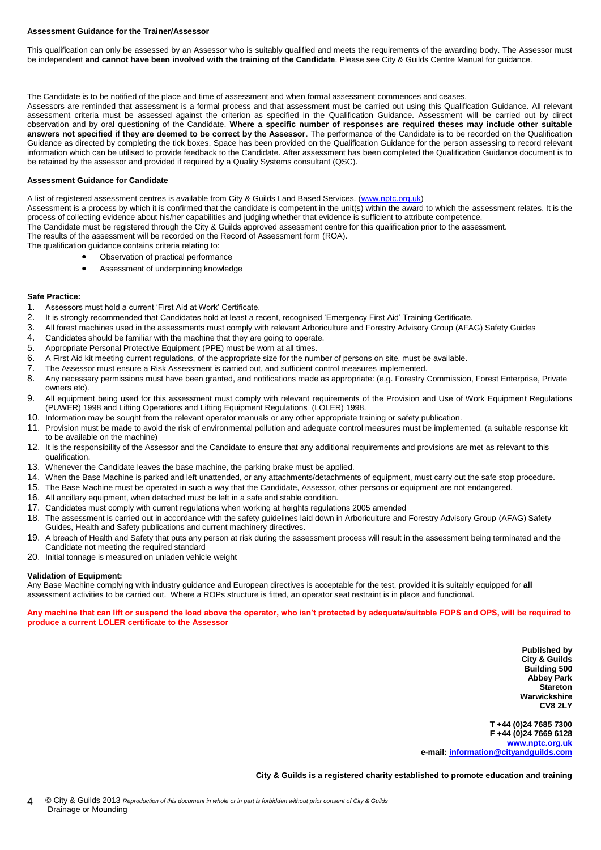#### **Assessment Guidance for the Trainer/Assessor**

This qualification can only be assessed by an Assessor who is suitably qualified and meets the requirements of the awarding body. The Assessor must be independent **and cannot have been involved with the training of the Candidate**. Please see City & Guilds Centre Manual for guidance.

The Candidate is to be notified of the place and time of assessment and when formal assessment commences and ceases.

Assessors are reminded that assessment is a formal process and that assessment must be carried out using this Qualification Guidance. All relevant assessment criteria must be assessed against the criterion as specified in the Qualification Guidance. Assessment will be carried out by direct observation and by oral questioning of the Candidate. **Where a specific number of responses are required theses may include other suitable answers not specified if they are deemed to be correct by the Assessor**. The performance of the Candidate is to be recorded on the Qualification Guidance as directed by completing the tick boxes. Space has been provided on the Qualification Guidance for the person assessing to record relevant information which can be utilised to provide feedback to the Candidate. After assessment has been completed the Qualification Guidance document is to be retained by the assessor and provided if required by a Quality Systems consultant (QSC).

#### **Assessment Guidance for Candidate**

A list of registered assessment centres is available from City & Guilds Land Based Services. [\(www.nptc.org.uk\)](http://www.nptc.org.uk/)

Assessment is a process by which it is confirmed that the candidate is competent in the unit(s) within the award to which the assessment relates. It is the process of collecting evidence about his/her capabilities and judging whether that evidence is sufficient to attribute competence.

The Candidate must be registered through the City & Guilds approved assessment centre for this qualification prior to the assessment.

The results of the assessment will be recorded on the Record of Assessment form (ROA).

- The qualification guidance contains criteria relating to:
	- Observation of practical performance
	- Assessment of underpinning knowledge

#### **Safe Practice:**

- 1. Assessors must hold a current 'First Aid at Work' Certificate.<br>2. It is strongly recommended that Candidates hold at least a re
- 2. It is strongly recommended that Candidates hold at least a recent, recognised 'Emergency First Aid' Training Certificate.<br>3. All forest machines used in the assessments must comply with relevant Arboriculture and Forest
- 3. All forest machines used in the assessments must comply with relevant Arboriculture and Forestry Advisory Group (AFAG) Safety Guides 4. Candidates should be familiar with the machine that they are going to operate
- 4. Candidates should be familiar with the machine that they are going to operate.<br>5. Appropriate Personal Protective Equipment (PPE) must be worn at all times.
- 5. Appropriate Personal Protective Equipment (PPE) must be worn at all times.<br>6. A First Aid kit meeting current regulations, of the appropriate size for the num
- 6. A First Aid kit meeting current regulations, of the appropriate size for the number of persons on site, must be available.<br>7. The Assessor must ensure a Risk Assessment is carried out, and sufficient control measures im
- 7. The Assessor must ensure a Risk Assessment is carried out, and sufficient control measures implemented.
- 8. Any necessary permissions must have been granted, and notifications made as appropriate: (e.g. Forestry Commission, Forest Enterprise, Private owners etc).
- 9. All equipment being used for this assessment must comply with relevant requirements of the Provision and Use of Work Equipment Regulations (PUWER) 1998 and Lifting Operations and Lifting Equipment Regulations (LOLER) 1998.
- 10. Information may be sought from the relevant operator manuals or any other appropriate training or safety publication.
- 11. Provision must be made to avoid the risk of environmental pollution and adequate control measures must be implemented. (a suitable response kit to be available on the machine)
- 12. It is the responsibility of the Assessor and the Candidate to ensure that any additional requirements and provisions are met as relevant to this qualification.
- 13. Whenever the Candidate leaves the base machine, the parking brake must be applied.
- 14. When the Base Machine is parked and left unattended, or any attachments/detachments of equipment, must carry out the safe stop procedure.
- 15. The Base Machine must be operated in such a way that the Candidate, Assessor, other persons or equipment are not endangered.
- 16. All ancillary equipment, when detached must be left in a safe and stable condition.
- 17. Candidates must comply with current regulations when working at heights regulations 2005 amended
- 18. The assessment is carried out in accordance with the safety guidelines laid down in Arboriculture and Forestry Advisory Group (AFAG) Safety Guides, Health and Safety publications and current machinery directives.
- 19. A breach of Health and Safety that puts any person at risk during the assessment process will result in the assessment being terminated and the Candidate not meeting the required standard
- 20. Initial tonnage is measured on unladen vehicle weight

#### **Validation of Equipment:**

Any Base Machine complying with industry guidance and European directives is acceptable for the test, provided it is suitably equipped for **all** assessment activities to be carried out. Where a ROPs structure is fitted, an operator seat restraint is in place and functional.

#### **Any machine that can lift or suspend the load above the operator, who isn't protected by adequate/suitable FOPS and OPS, will be required to produce a current LOLER certificate to the Assessor**

**Published by City & Guilds Building 500 Abbey Park Stareton Warwickshire CV8 2LY**

**T +44 (0)24 7685 7300 F +44 (0)24 7669 6128 [www.nptc.org.uk](http://www.nptc.org.uk/) e-mail: [information@cityandguilds.com](mailto:information@cityandguilds.com)**

**City & Guilds is a registered charity established to promote education and training**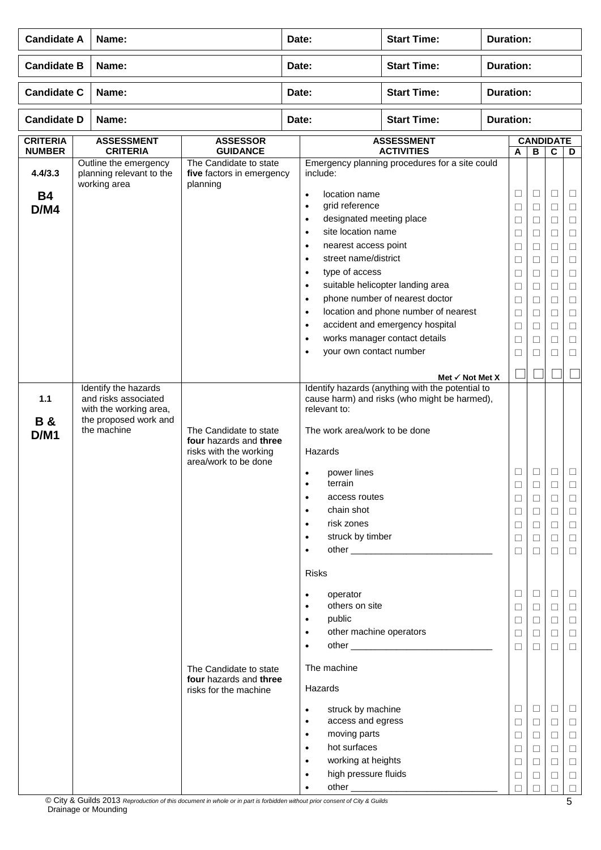| <b>Candidate A</b><br>Name:      |                                                                                        | Date:                                                                                              |       | <b>Start Time:</b>                                                                                                                                                                                                                                                                                                                                                  | <b>Duration:</b>                                                                                                                                                                                                                                               |                  |                                                                                                                      |                                                                                   |                                                                                                                      |                                                                                                                           |  |  |
|----------------------------------|----------------------------------------------------------------------------------------|----------------------------------------------------------------------------------------------------|-------|---------------------------------------------------------------------------------------------------------------------------------------------------------------------------------------------------------------------------------------------------------------------------------------------------------------------------------------------------------------------|----------------------------------------------------------------------------------------------------------------------------------------------------------------------------------------------------------------------------------------------------------------|------------------|----------------------------------------------------------------------------------------------------------------------|-----------------------------------------------------------------------------------|----------------------------------------------------------------------------------------------------------------------|---------------------------------------------------------------------------------------------------------------------------|--|--|
| <b>Candidate B</b>               | Name:                                                                                  |                                                                                                    | Date: |                                                                                                                                                                                                                                                                                                                                                                     | <b>Start Time:</b>                                                                                                                                                                                                                                             | <b>Duration:</b> |                                                                                                                      |                                                                                   |                                                                                                                      |                                                                                                                           |  |  |
| <b>Candidate C</b>               | Name:                                                                                  |                                                                                                    | Date: |                                                                                                                                                                                                                                                                                                                                                                     | <b>Start Time:</b>                                                                                                                                                                                                                                             |                  | <b>Duration:</b>                                                                                                     |                                                                                   |                                                                                                                      |                                                                                                                           |  |  |
| <b>Candidate D</b>               | Name:                                                                                  |                                                                                                    |       | Date:                                                                                                                                                                                                                                                                                                                                                               | <b>Start Time:</b>                                                                                                                                                                                                                                             |                  | <b>Duration:</b>                                                                                                     |                                                                                   |                                                                                                                      |                                                                                                                           |  |  |
| <b>CRITERIA</b><br><b>NUMBER</b> | <b>ASSESSMENT</b><br><b>CRITERIA</b>                                                   | <b>ASSESSOR</b><br><b>GUIDANCE</b>                                                                 |       |                                                                                                                                                                                                                                                                                                                                                                     | <b>ASSESSMENT</b><br><b>ACTIVITIES</b>                                                                                                                                                                                                                         |                  | A                                                                                                                    | <b>CANDIDATE</b><br>В                                                             | D                                                                                                                    |                                                                                                                           |  |  |
| 4.4/3.3<br><b>B4</b><br>D/M4     | Outline the emergency<br>planning relevant to the<br>working area                      | The Candidate to state<br>five factors in emergency<br>planning                                    |       | include:<br>location name<br>$\bullet$<br>grid reference<br>$\bullet$<br>designated meeting place<br>$\bullet$<br>site location name<br>$\bullet$<br>nearest access point<br>$\bullet$<br>street name/district<br>$\bullet$<br>type of access<br>$\bullet$<br>$\bullet$<br>$\bullet$<br>$\bullet$<br>$\bullet$<br>$\bullet$<br>your own contact number<br>$\bullet$ | Emergency planning procedures for a site could<br>suitable helicopter landing area<br>phone number of nearest doctor<br>location and phone number of nearest<br>accident and emergency hospital<br>works manager contact details<br>Met $\checkmark$ Not Met X |                  | $\Box$<br>$\Box$<br>$\Box$<br>□<br>$\Box$<br>$\Box$<br>$\Box$<br>$\Box$<br>□<br>$\Box$<br>$\Box$<br>$\Box$<br>$\Box$ | ⊔<br>$\Box$<br>□<br>⊔<br>□<br>□<br>$\Box$<br>$\Box$<br>⊔<br>$\Box$<br>□<br>⊔<br>□ | $\Box$<br>$\Box$<br>$\Box$<br>П<br>$\Box$<br>П<br>$\Box$<br>$\Box$<br>$\Box$<br>$\Box$<br>$\Box$<br>$\Box$<br>$\Box$ | ⊔<br>$\Box$<br>$\Box$<br>$\Box$<br>$\Box$<br>$\Box$<br>$\Box$<br>$\Box$<br>$\Box$<br>$\Box$<br>$\Box$<br>$\Box$<br>$\Box$ |  |  |
|                                  | Identify the hazards                                                                   |                                                                                                    |       |                                                                                                                                                                                                                                                                                                                                                                     | Identify hazards (anything with the potential to                                                                                                                                                                                                               |                  |                                                                                                                      |                                                                                   |                                                                                                                      |                                                                                                                           |  |  |
| 1.1<br><b>B&amp;</b><br>D/M1     | and risks associated<br>with the working area,<br>the proposed work and<br>the machine | The Candidate to state<br>four hazards and three<br>risks with the working<br>area/work to be done |       | relevant to:<br>The work area/work to be done<br>Hazards<br>power lines<br>$\bullet$<br>terrain<br>$\bullet$<br>access routes<br>$\bullet$<br>chain shot<br>$\bullet$<br>risk zones<br>$\bullet$<br>struck by timber<br>$\bullet$<br>$\bullet$<br>Risks                                                                                                             | cause harm) and risks (who might be harmed),                                                                                                                                                                                                                   |                  | $\Box$<br>□<br>$\Box$<br>$\Box$<br>$\Box$<br>$\Box$<br>$\Box$                                                        | ⊔<br>⊔<br>□<br>⊔<br>□<br>□<br>⊔                                                   | $\Box$<br>⊔<br>$\Box$<br>$\Box$<br>$\Box$<br>$\Box$<br>□                                                             | $\Box$<br>□<br>$\Box$<br>$\Box$<br>$\Box$<br>$\Box$                                                                       |  |  |
|                                  |                                                                                        | The Candidate to state<br>four hazards and three                                                   |       | operator<br>$\bullet$<br>others on site<br>$\bullet$<br>public<br>$\bullet$<br>other machine operators<br>$\bullet$<br>$\bullet$<br>The machine                                                                                                                                                                                                                     |                                                                                                                                                                                                                                                                |                  | ⊔<br>$\Box$<br>□<br>$\Box$<br>$\Box$                                                                                 | Ц<br>$\Box$<br>⊔<br>□<br>□                                                        | ⊔<br>$\Box$<br>$\Box$<br>$\Box$<br>П                                                                                 | Ц<br>$\Box$<br>$\Box$<br>$\Box$<br>$\Box$                                                                                 |  |  |
|                                  |                                                                                        | risks for the machine                                                                              |       | Hazards<br>struck by machine<br>$\bullet$<br>access and egress<br>$\bullet$<br>moving parts<br>$\bullet$<br>hot surfaces<br>$\bullet$<br>working at heights<br>$\bullet$<br>high pressure fluids<br>$\bullet$<br>$\bullet$                                                                                                                                          |                                                                                                                                                                                                                                                                |                  | ⊔<br>$\Box$<br>$\Box$<br>$\Box$<br>$\Box$<br>$\Box$<br>П                                                             | ⊔<br>$\Box$<br>⊔<br>□<br>⊔<br>□                                                   | □<br>$\Box$<br>$\Box$<br>$\Box$<br>$\Box$<br>□<br>П                                                                  | $\Box$<br>$\Box$<br>$\Box$<br>$\Box$<br>$\Box$<br>$\Box$<br>$\Box$                                                        |  |  |

© City & Guilds 2013 *Reproduction of this document in whole or in part is forbidden without prior consent of City & Guilds* Drainage or Mounding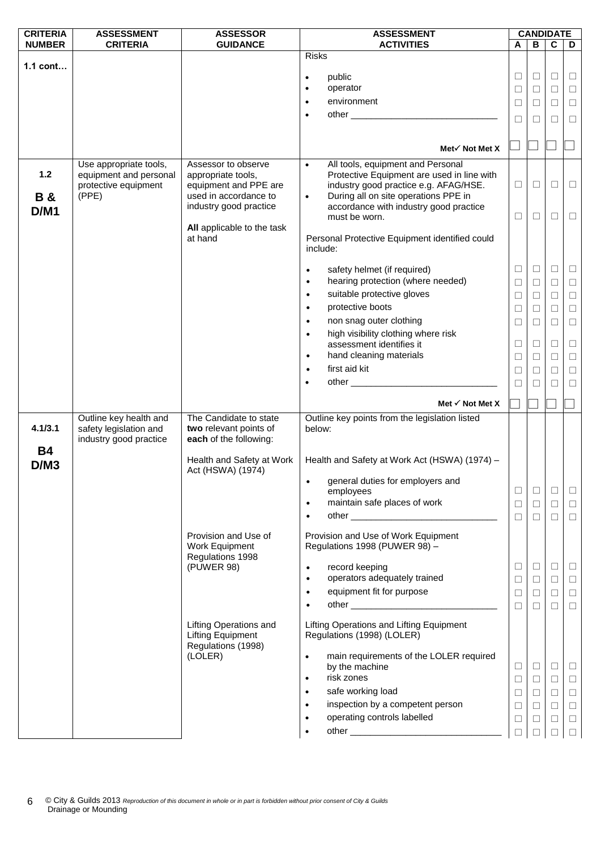| <b>CRITERIA</b> | <b>ASSESSMENT</b>                                | <b>ASSESSOR</b>                                    | <b>ASSESSMENT</b>                                                            |        |        |              | <b>CANDIDATE</b> |  |
|-----------------|--------------------------------------------------|----------------------------------------------------|------------------------------------------------------------------------------|--------|--------|--------------|------------------|--|
| <b>NUMBER</b>   | <b>CRITERIA</b>                                  | <b>GUIDANCE</b>                                    | <b>ACTIVITIES</b>                                                            | A      | B      | C            | D                |  |
|                 |                                                  |                                                    | <b>Risks</b>                                                                 |        |        |              |                  |  |
| $1.1$ cont      |                                                  |                                                    | public                                                                       | $\Box$ | $\Box$ | □            | $\Box$           |  |
|                 |                                                  |                                                    | $\bullet$<br>operator                                                        | $\Box$ | $\Box$ | $\Box$       | $\Box$           |  |
|                 |                                                  |                                                    | environment                                                                  |        |        |              |                  |  |
|                 |                                                  |                                                    | $\bullet$                                                                    | $\Box$ | $\Box$ | $\Box$       | $\Box$           |  |
|                 |                                                  |                                                    | $\bullet$                                                                    | □      | ⊔      | $\mathbf{L}$ | $\Box$           |  |
|                 |                                                  |                                                    |                                                                              |        |        |              |                  |  |
|                 |                                                  |                                                    | Met√ Not Met X                                                               |        |        |              |                  |  |
|                 | Use appropriate tools,                           | Assessor to observe                                | All tools, equipment and Personal<br>$\bullet$                               |        |        |              |                  |  |
| $1.2$           | equipment and personal                           | appropriate tools,                                 | Protective Equipment are used in line with                                   |        |        |              |                  |  |
|                 | protective equipment                             | equipment and PPE are                              | industry good practice e.g. AFAG/HSE.                                        | □      | $\Box$ | $\Box$       | $\Box$           |  |
| <b>B&amp;</b>   | (PPE)                                            | used in accordance to                              | During all on site operations PPE in<br>$\bullet$                            |        |        |              |                  |  |
| D/M1            |                                                  | industry good practice                             | accordance with industry good practice                                       |        |        |              |                  |  |
|                 |                                                  |                                                    | must be worn.                                                                | ⊔      | ⊔      | $\Box$       | $\Box$           |  |
|                 |                                                  | All applicable to the task                         |                                                                              |        |        |              |                  |  |
|                 |                                                  | at hand                                            | Personal Protective Equipment identified could<br>include:                   |        |        |              |                  |  |
|                 |                                                  |                                                    |                                                                              |        |        |              |                  |  |
|                 |                                                  |                                                    | safety helmet (if required)<br>$\bullet$                                     | □      | $\Box$ | □            | $\Box$           |  |
|                 |                                                  |                                                    | hearing protection (where needed)<br>$\bullet$                               | $\Box$ | $\Box$ | $\Box$       | $\Box$           |  |
|                 |                                                  |                                                    | suitable protective gloves<br>$\bullet$                                      | $\Box$ | $\Box$ | $\Box$       | $\Box$           |  |
|                 |                                                  |                                                    | protective boots<br>$\bullet$                                                | $\Box$ |        | $\Box$       |                  |  |
|                 |                                                  |                                                    |                                                                              |        | $\Box$ |              | $\Box$           |  |
|                 |                                                  |                                                    | non snag outer clothing<br>$\bullet$                                         | □      | $\Box$ | □            | $\Box$           |  |
|                 |                                                  |                                                    | high visibility clothing where risk<br>$\bullet$<br>assessment identifies it | $\Box$ | $\Box$ | $\Box$       | $\Box$           |  |
|                 |                                                  |                                                    | hand cleaning materials<br>$\bullet$                                         |        |        |              |                  |  |
|                 |                                                  |                                                    | first aid kit                                                                | $\Box$ | $\Box$ | $\Box$       | $\Box$           |  |
|                 |                                                  |                                                    | $\bullet$                                                                    | $\Box$ | □      | □            | $\Box$           |  |
|                 |                                                  |                                                    | ٠                                                                            | $\Box$ | $\Box$ | $\Box$       | $\Box$           |  |
|                 |                                                  |                                                    | Met $\checkmark$ Not Met X                                                   |        |        |              |                  |  |
|                 |                                                  |                                                    |                                                                              |        |        |              |                  |  |
| 4.1/3.1         | Outline key health and<br>safety legislation and | The Candidate to state<br>two relevant points of   | Outline key points from the legislation listed<br>below:                     |        |        |              |                  |  |
|                 | industry good practice                           | each of the following:                             |                                                                              |        |        |              |                  |  |
| <b>B4</b>       |                                                  |                                                    |                                                                              |        |        |              |                  |  |
| D/M3            |                                                  | Health and Safety at Work                          | Health and Safety at Work Act (HSWA) (1974) -                                |        |        |              |                  |  |
|                 |                                                  | Act (HSWA) (1974)                                  |                                                                              |        |        |              |                  |  |
|                 |                                                  |                                                    | general duties for employers and                                             |        |        |              |                  |  |
|                 |                                                  |                                                    | employees                                                                    | $\Box$ | $\Box$ | □            | $\Box$           |  |
|                 |                                                  |                                                    | maintain safe places of work<br>$\bullet$                                    | $\Box$ | $\Box$ | □            | $\Box$           |  |
|                 |                                                  |                                                    | $\bullet$                                                                    | $\Box$ | $\Box$ | $\Box$       | $\Box$           |  |
|                 |                                                  | Provision and Use of                               | Provision and Use of Work Equipment                                          |        |        |              |                  |  |
|                 |                                                  | Work Equipment                                     | Regulations 1998 (PUWER 98) -                                                |        |        |              |                  |  |
|                 |                                                  | Regulations 1998                                   |                                                                              |        |        |              |                  |  |
|                 |                                                  | (PUWER 98)                                         | record keeping<br>$\bullet$                                                  | □      | $\Box$ | □            | $\Box$           |  |
|                 |                                                  |                                                    | operators adequately trained<br>$\bullet$                                    | $\Box$ | $\Box$ | $\Box$       | $\Box$           |  |
|                 |                                                  |                                                    | equipment fit for purpose<br>$\bullet$                                       | $\Box$ | $\Box$ | $\Box$       | $\Box$           |  |
|                 |                                                  |                                                    | $\bullet$                                                                    | $\Box$ | $\Box$ | □            | $\Box$           |  |
|                 |                                                  |                                                    |                                                                              |        |        |              |                  |  |
|                 |                                                  | Lifting Operations and<br><b>Lifting Equipment</b> | Lifting Operations and Lifting Equipment<br>Regulations (1998) (LOLER)       |        |        |              |                  |  |
|                 |                                                  | Regulations (1998)<br>(LOLER)                      | main requirements of the LOLER required<br>$\bullet$                         |        |        |              |                  |  |
|                 |                                                  |                                                    | by the machine                                                               | □      | $\Box$ | $\Box$       | $\Box$           |  |
|                 |                                                  |                                                    | risk zones<br>$\bullet$                                                      | $\Box$ | $\Box$ | $\Box$       | $\Box$           |  |
|                 |                                                  |                                                    | safe working load<br>$\bullet$                                               | $\Box$ | $\Box$ | $\Box$       | $\Box$           |  |
|                 |                                                  |                                                    | inspection by a competent person<br>$\bullet$                                | □      | $\Box$ | $\Box$       | $\Box$           |  |
|                 |                                                  |                                                    | operating controls labelled                                                  |        |        |              |                  |  |
|                 |                                                  |                                                    |                                                                              | $\Box$ | $\Box$ | $\Box$       | $\Box$           |  |
|                 |                                                  |                                                    |                                                                              | □      |        | $\Box$       | $\Box$           |  |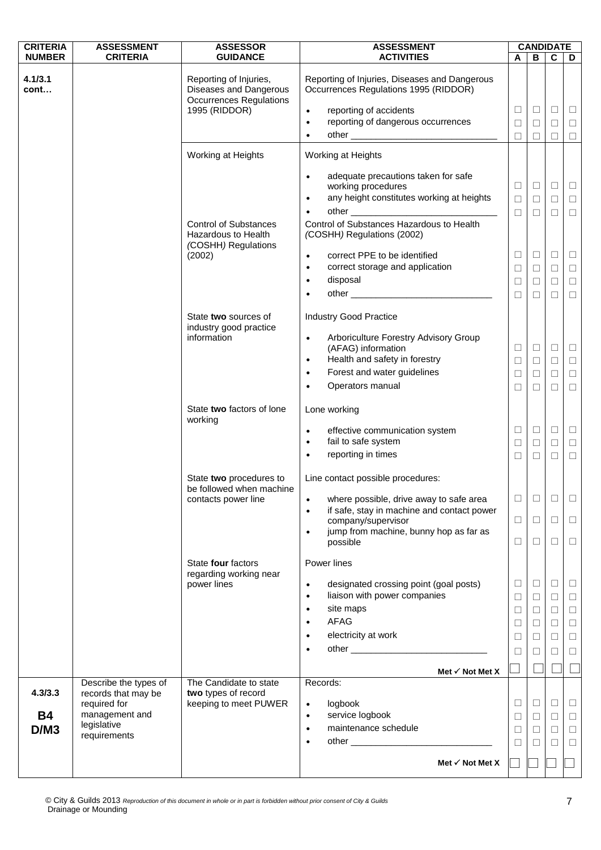| <b>CRITERIA</b> | <b>ASSESSMENT</b>                   | <b>ASSESSOR</b>                                                                    | <b>ASSESSMENT</b>                                                                      |        |        | <b>CANDIDATE</b> |        |
|-----------------|-------------------------------------|------------------------------------------------------------------------------------|----------------------------------------------------------------------------------------|--------|--------|------------------|--------|
| <b>NUMBER</b>   | <b>CRITERIA</b>                     | <b>GUIDANCE</b>                                                                    | <b>ACTIVITIES</b>                                                                      | A      | В      | C                | D      |
| 4.1/3.1<br>cont |                                     | Reporting of Injuries,<br>Diseases and Dangerous<br><b>Occurrences Regulations</b> | Reporting of Injuries, Diseases and Dangerous<br>Occurrences Regulations 1995 (RIDDOR) |        |        |                  |        |
|                 |                                     | 1995 (RIDDOR)                                                                      | reporting of accidents<br>$\bullet$                                                    | $\Box$ | $\Box$ | $\Box$           | $\Box$ |
|                 |                                     |                                                                                    | reporting of dangerous occurrences<br>$\bullet$                                        | $\Box$ | $\Box$ | $\Box$           | $\Box$ |
|                 |                                     |                                                                                    | $\bullet$                                                                              | □      | $\Box$ | $\Box$           | □      |
|                 |                                     | Working at Heights                                                                 | Working at Heights                                                                     |        |        |                  |        |
|                 |                                     |                                                                                    | adequate precautions taken for safe<br>$\bullet$<br>working procedures                 | $\Box$ | $\Box$ | $\Box$           | $\Box$ |
|                 |                                     |                                                                                    | any height constitutes working at heights<br>$\bullet$                                 | $\Box$ | $\Box$ | $\Box$           | $\Box$ |
|                 |                                     |                                                                                    | $\bullet$                                                                              | $\Box$ | $\Box$ | $\Box$           | $\Box$ |
|                 |                                     | <b>Control of Substances</b><br>Hazardous to Health<br>(COSHH) Regulations         | Control of Substances Hazardous to Health<br>(COSHH) Regulations (2002)                |        |        |                  |        |
|                 |                                     | (2002)                                                                             | correct PPE to be identified<br>$\bullet$                                              | $\Box$ | $\Box$ | $\Box$           | $\Box$ |
|                 |                                     |                                                                                    | correct storage and application<br>$\bullet$                                           | $\Box$ | $\Box$ | $\Box$           | $\Box$ |
|                 |                                     |                                                                                    | disposal<br>$\bullet$                                                                  | $\Box$ | $\Box$ | □                | $\Box$ |
|                 |                                     |                                                                                    | ٠                                                                                      | $\Box$ | $\Box$ | $\Box$           | $\Box$ |
|                 |                                     | State two sources of<br>industry good practice                                     | <b>Industry Good Practice</b>                                                          |        |        |                  |        |
|                 |                                     | information                                                                        | Arboriculture Forestry Advisory Group<br>$\bullet$<br>(AFAG) information               | $\Box$ | $\Box$ | $\Box$           | $\Box$ |
|                 |                                     |                                                                                    | Health and safety in forestry<br>$\bullet$                                             | $\Box$ | $\Box$ | $\Box$           | $\Box$ |
|                 |                                     |                                                                                    | Forest and water guidelines<br>$\bullet$<br>Operators manual<br>$\bullet$              | $\Box$ | $\Box$ | $\Box$           | $\Box$ |
|                 |                                     |                                                                                    |                                                                                        | $\Box$ | $\Box$ | $\Box$           | $\Box$ |
|                 |                                     | State two factors of lone<br>working                                               | Lone working                                                                           |        |        |                  |        |
|                 |                                     |                                                                                    | effective communication system<br>$\bullet$                                            | $\Box$ | $\Box$ | $\Box$           | $\Box$ |
|                 |                                     |                                                                                    | fail to safe system<br>$\bullet$<br>reporting in times<br>$\bullet$                    | $\Box$ | $\Box$ | $\Box$           | $\Box$ |
|                 |                                     |                                                                                    |                                                                                        | $\Box$ | $\Box$ | $\Box$           | $\Box$ |
|                 |                                     | State two procedures to<br>be followed when machine                                | Line contact possible procedures:                                                      |        |        |                  |        |
|                 |                                     | contacts power line                                                                | where possible, drive away to safe area<br>$\bullet$                                   | □      | □      | □                | ⊔      |
|                 |                                     |                                                                                    | if safe, stay in machine and contact power<br>$\bullet$<br>company/supervisor          | $\Box$ | $\Box$ | $\Box$           | $\Box$ |
|                 |                                     |                                                                                    | jump from machine, bunny hop as far as<br>$\bullet$                                    |        |        |                  |        |
|                 |                                     |                                                                                    | possible                                                                               | $\Box$ | $\Box$ | $\Box$           | $\Box$ |
|                 |                                     | State four factors<br>regarding working near                                       | Power lines                                                                            |        |        |                  |        |
|                 |                                     | power lines                                                                        | designated crossing point (goal posts)<br>$\bullet$                                    | ⊔      | $\Box$ | $\Box$           | $\Box$ |
|                 |                                     |                                                                                    | liaison with power companies<br>$\bullet$                                              | □      | $\Box$ | $\Box$           | $\Box$ |
|                 |                                     |                                                                                    | site maps<br>$\bullet$                                                                 | $\Box$ | $\Box$ | $\Box$           | $\Box$ |
|                 |                                     |                                                                                    | AFAG<br>$\bullet$                                                                      | □      | $\Box$ | $\Box$           | $\Box$ |
|                 |                                     |                                                                                    | electricity at work<br>$\bullet$<br>$\bullet$                                          | $\Box$ | $\Box$ | $\Box$           | $\Box$ |
|                 |                                     |                                                                                    |                                                                                        | $\Box$ | □      | □                | $\Box$ |
|                 |                                     |                                                                                    | Met $\checkmark$ Not Met X                                                             |        |        |                  |        |
|                 | Describe the types of               | The Candidate to state                                                             | Records:                                                                               |        |        |                  |        |
| 4.3/3.3         | records that may be<br>required for | two types of record<br>keeping to meet PUWER                                       | logbook<br>$\bullet$                                                                   | $\Box$ | $\Box$ | $\Box$           | $\Box$ |
| <b>B4</b>       | management and                      |                                                                                    | service logbook<br>$\bullet$                                                           | □      | $\Box$ | $\Box$           | $\Box$ |
| D/M3            | legislative<br>requirements         |                                                                                    | maintenance schedule<br>$\bullet$                                                      | □      | $\Box$ | $\Box$           | $\Box$ |
|                 |                                     |                                                                                    | ٠                                                                                      | $\Box$ | $\Box$ | $\Box$           | $\Box$ |
|                 |                                     |                                                                                    | Met $\checkmark$ Not Met X                                                             |        |        |                  |        |
|                 |                                     |                                                                                    |                                                                                        |        |        |                  |        |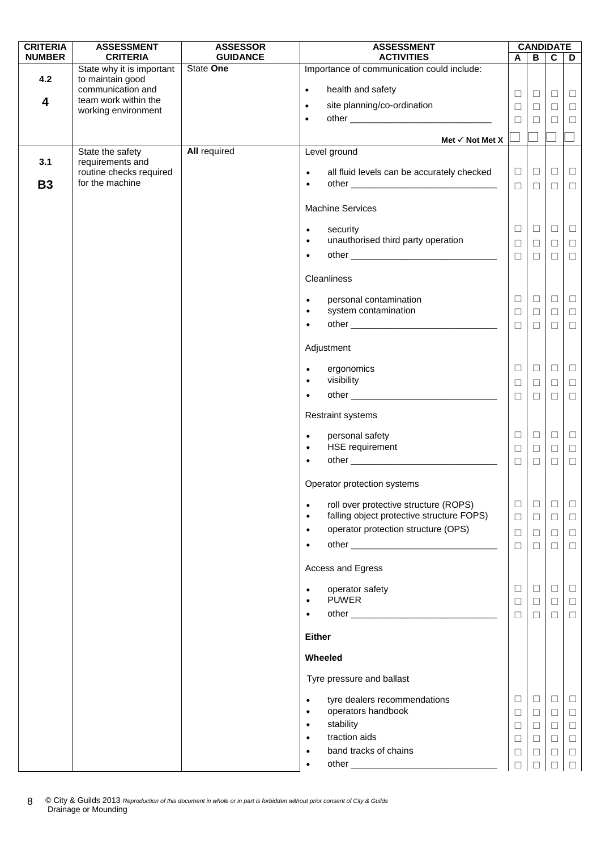| <b>CRITERIA</b>         | <b>ASSESSMENT</b>                            | <b>ASSESSOR</b>              | <b>ASSESSMENT</b>                                                            |                  |                  | <b>CANDIDATE</b> |                  |
|-------------------------|----------------------------------------------|------------------------------|------------------------------------------------------------------------------|------------------|------------------|------------------|------------------|
| <b>NUMBER</b>           | <b>CRITERIA</b><br>State why it is important | <b>GUIDANCE</b><br>State One | <b>ACTIVITIES</b><br>Importance of communication could include:              | A                | В                | $\mathbf{C}$     | D                |
| 4.2                     | to maintain good                             |                              |                                                                              |                  |                  |                  |                  |
|                         | communication and<br>team work within the    |                              | health and safety<br>$\bullet$                                               | $\Box$           | $\Box$           | $\Box$           | $\Box$           |
| $\overline{\mathbf{4}}$ | working environment                          |                              | site planning/co-ordination<br>$\bullet$                                     | $\Box$           | $\Box$           | $\Box$           | $\Box$           |
|                         |                                              |                              | $\bullet$                                                                    | $\Box$           | $\Box$           | $\Box$           | $\Box$           |
|                         |                                              |                              | Met $\checkmark$ Not Met X                                                   |                  |                  |                  |                  |
|                         | State the safety                             | <b>All required</b>          | Level ground                                                                 |                  |                  |                  |                  |
| 3.1                     | requirements and<br>routine checks required  |                              | all fluid levels can be accurately checked<br>$\bullet$                      | $\Box$           | $\Box$           | $\Box$           | $\Box$           |
| <b>B3</b>               | for the machine                              |                              | $\bullet$                                                                    | $\Box$           | $\Box$           | $\Box$           | $\Box$           |
|                         |                                              |                              |                                                                              |                  |                  |                  |                  |
|                         |                                              |                              | <b>Machine Services</b>                                                      |                  |                  |                  |                  |
|                         |                                              |                              | security<br>$\bullet$                                                        | $\Box$           | $\Box$           | $\Box$           | $\Box$           |
|                         |                                              |                              | unauthorised third party operation<br>$\bullet$                              | $\Box$           | $\Box$           | $\Box$           | $\Box$           |
|                         |                                              |                              | $\bullet$                                                                    | $\Box$           | $\Box$           | $\Box$           | $\Box$           |
|                         |                                              |                              | Cleanliness                                                                  |                  |                  |                  |                  |
|                         |                                              |                              |                                                                              |                  |                  |                  |                  |
|                         |                                              |                              | personal contamination<br>$\bullet$<br>system contamination                  | $\Box$           | $\Box$           | $\Box$           | $\Box$           |
|                         |                                              |                              | $\bullet$<br>$\bullet$                                                       | $\Box$<br>$\Box$ | $\Box$<br>$\Box$ | $\Box$           | $\Box$<br>$\Box$ |
|                         |                                              |                              |                                                                              |                  |                  | $\Box$           |                  |
|                         |                                              |                              | Adjustment                                                                   |                  |                  |                  |                  |
|                         |                                              |                              | ergonomics<br>$\bullet$                                                      | $\Box$           | $\Box$           | $\Box$           | $\Box$           |
|                         |                                              |                              | visibility<br>$\bullet$                                                      | $\Box$           | $\Box$           | $\Box$           | $\Box$           |
|                         |                                              |                              | $\bullet$                                                                    | $\Box$           | $\Box$           | $\Box$           | $\Box$           |
|                         |                                              |                              | <b>Restraint systems</b>                                                     |                  |                  |                  |                  |
|                         |                                              |                              | personal safety<br>$\bullet$                                                 | $\Box$           | $\Box$           | $\Box$           | $\Box$           |
|                         |                                              |                              | HSE requirement<br>$\bullet$                                                 | $\Box$           | $\Box$           | $\Box$           | $\Box$           |
|                         |                                              |                              | $\bullet$                                                                    | $\Box$           | $\Box$           | $\Box$           | $\Box$           |
|                         |                                              |                              | Operator protection systems                                                  |                  |                  |                  |                  |
|                         |                                              |                              | roll over protective structure (ROPS)<br>$\bullet$                           | $\Box$           | $\Box$           | $\Box$           | $\Box$           |
|                         |                                              |                              | falling object protective structure FOPS)<br>$\bullet$                       | $\Box$           | $\Box$           | $\Box$           | $\Box$           |
|                         |                                              |                              | operator protection structure (OPS)<br>$\bullet$                             | $\Box$           | $\Box$           | ⊔                | $\Box$           |
|                         |                                              |                              | $\bullet$                                                                    | $\Box$           | $\Box$           | $\Box$           | $\Box$           |
|                         |                                              |                              | Access and Egress                                                            |                  |                  |                  |                  |
|                         |                                              |                              | operator safety<br>$\bullet$                                                 | $\Box$           | $\Box$           | $\Box$           | $\Box$           |
|                         |                                              |                              | <b>PUWER</b><br>$\bullet$                                                    | $\Box$           | $\Box$           | $\Box$           | $\Box$           |
|                         |                                              |                              | $\bullet$                                                                    | $\Box$           | $\Box$           | $\Box$           | $\Box$           |
|                         |                                              |                              | <b>Either</b>                                                                |                  |                  |                  |                  |
|                         |                                              |                              | Wheeled                                                                      |                  |                  |                  |                  |
|                         |                                              |                              | Tyre pressure and ballast                                                    |                  |                  |                  |                  |
|                         |                                              |                              |                                                                              |                  |                  |                  |                  |
|                         |                                              |                              | tyre dealers recommendations<br>$\bullet$<br>operators handbook<br>$\bullet$ | ⊔<br>$\Box$      | $\Box$<br>$\Box$ | ⊔<br>$\Box$      | $\Box$<br>$\Box$ |
|                         |                                              |                              | stability<br>$\bullet$                                                       | $\Box$           | $\Box$           | $\Box$           | $\Box$           |
|                         |                                              |                              | traction aids<br>$\bullet$                                                   | $\Box$           | $\Box$           | $\Box$           | $\Box$           |
|                         |                                              |                              | band tracks of chains<br>$\bullet$                                           | $\Box$           | $\Box$           | $\Box$           | $\Box$           |
|                         |                                              |                              |                                                                              |                  | П                | П                | $\Box$           |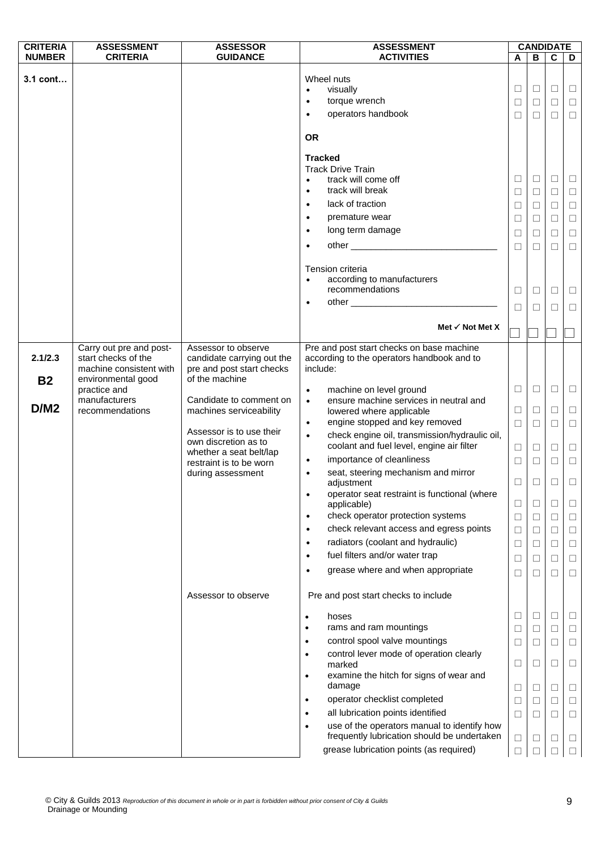| <b>CRITERIA</b>      | <b>ASSESSMENT</b>                                                                               | <b>ASSESSOR</b>                                                                                        | <b>ASSESSMENT</b>                                                                                                                                                                                                                                                                                                                                                                                                                                               |                                           |                                                | <b>CANDIDATE</b>                                    |                                                     |
|----------------------|-------------------------------------------------------------------------------------------------|--------------------------------------------------------------------------------------------------------|-----------------------------------------------------------------------------------------------------------------------------------------------------------------------------------------------------------------------------------------------------------------------------------------------------------------------------------------------------------------------------------------------------------------------------------------------------------------|-------------------------------------------|------------------------------------------------|-----------------------------------------------------|-----------------------------------------------------|
| <b>NUMBER</b>        | <b>CRITERIA</b>                                                                                 | <b>GUIDANCE</b>                                                                                        | <b>ACTIVITIES</b>                                                                                                                                                                                                                                                                                                                                                                                                                                               | A                                         | B                                              | $\mathbf c$                                         | D                                                   |
| 3.1 cont             |                                                                                                 |                                                                                                        | Wheel nuts<br>visually<br>$\bullet$<br>torque wrench<br>$\bullet$<br>operators handbook<br>$\bullet$<br><b>OR</b>                                                                                                                                                                                                                                                                                                                                               | $\Box$<br>$\Box$<br>$\Box$                | $\Box$<br>$\Box$<br>$\Box$                     | $\Box$<br>$\Box$<br>$\Box$                          | $\Box$<br>$\Box$<br>$\Box$                          |
|                      |                                                                                                 |                                                                                                        | <b>Tracked</b><br><b>Track Drive Train</b><br>track will come off<br>$\bullet$<br>track will break<br>$\bullet$<br>lack of traction<br>$\bullet$<br>premature wear<br>$\bullet$<br>long term damage<br>$\bullet$<br>other experience and the state of the state of the state of the state of the state of the state of the state of the state of the state of the state of the state of the state of the state of the state of the state of the st<br>$\bullet$ | ⊔<br>$\Box$<br>□<br>$\Box$<br>□<br>$\Box$ | Ц<br>$\Box$<br>□<br>$\Box$<br>$\Box$<br>$\Box$ | $\Box$<br>$\Box$<br>□<br>$\Box$<br>$\Box$<br>$\Box$ | ш<br>$\Box$<br>$\Box$<br>$\Box$<br>$\Box$<br>$\Box$ |
|                      |                                                                                                 |                                                                                                        | Tension criteria<br>according to manufacturers<br>$\bullet$<br>recommendations<br>$\bullet$                                                                                                                                                                                                                                                                                                                                                                     | □<br>□                                    | □<br>□                                         | $\Box$<br>□                                         | $\Box$<br>□                                         |
|                      |                                                                                                 |                                                                                                        | Met $\checkmark$ Not Met X                                                                                                                                                                                                                                                                                                                                                                                                                                      |                                           |                                                |                                                     |                                                     |
| 2.1/2.3<br><b>B2</b> | Carry out pre and post-<br>start checks of the<br>machine consistent with<br>environmental good | Assessor to observe<br>candidate carrying out the<br>pre and post start checks<br>of the machine       | Pre and post start checks on base machine<br>according to the operators handbook and to<br>include:                                                                                                                                                                                                                                                                                                                                                             |                                           |                                                |                                                     |                                                     |
|                      | practice and<br>manufacturers                                                                   | Candidate to comment on                                                                                | machine on level ground<br>$\bullet$<br>ensure machine services in neutral and<br>$\bullet$                                                                                                                                                                                                                                                                                                                                                                     | $\Box$                                    | $\Box$                                         | $\Box$                                              | $\Box$                                              |
| D/M2                 | recommendations                                                                                 | machines serviceability                                                                                | lowered where applicable<br>engine stopped and key removed<br>$\bullet$                                                                                                                                                                                                                                                                                                                                                                                         | $\Box$<br>$\Box$                          | $\Box$<br>$\Box$                               | $\Box$<br>$\Box$                                    | $\Box$<br>$\Box$                                    |
|                      |                                                                                                 | Assessor is to use their<br>own discretion as to<br>whether a seat belt/lap<br>restraint is to be worn | check engine oil, transmission/hydraulic oil,<br>$\bullet$<br>coolant and fuel level, engine air filter<br>importance of cleanliness<br>$\bullet$                                                                                                                                                                                                                                                                                                               | $\Box$<br>$\Box$                          | $\Box$<br>$\Box$                               | $\Box$<br>$\Box$                                    | $\Box$<br>$\Box$                                    |
|                      |                                                                                                 | during assessment                                                                                      | seat, steering mechanism and mirror<br>$\bullet$<br>adjustment<br>operator seat restraint is functional (where<br>$\bullet$                                                                                                                                                                                                                                                                                                                                     | $\Box$                                    | $\Box$                                         | □                                                   | $\Box$                                              |
|                      |                                                                                                 |                                                                                                        | applicable)<br>check operator protection systems<br>$\bullet$<br>check relevant access and egress points                                                                                                                                                                                                                                                                                                                                                        | $\Box$<br>$\Box$                          | $\Box$<br>$\Box$                               | $\Box$<br>□                                         | □<br>□                                              |
|                      |                                                                                                 |                                                                                                        | $\bullet$<br>radiators (coolant and hydraulic)<br>$\bullet$<br>fuel filters and/or water trap<br>$\bullet$                                                                                                                                                                                                                                                                                                                                                      | $\Box$<br>$\Box$<br>$\Box$                | $\Box$<br>□<br>$\Box$                          | $\Box$<br>□<br>$\Box$                               | $\Box$<br>$\Box$<br>$\Box$                          |
|                      |                                                                                                 |                                                                                                        | grease where and when appropriate<br>$\bullet$                                                                                                                                                                                                                                                                                                                                                                                                                  | $\Box$                                    | □                                              | П                                                   | □                                                   |
|                      |                                                                                                 | Assessor to observe                                                                                    | Pre and post start checks to include                                                                                                                                                                                                                                                                                                                                                                                                                            |                                           |                                                |                                                     |                                                     |
|                      |                                                                                                 |                                                                                                        | hoses<br>$\bullet$<br>rams and ram mountings<br>$\bullet$                                                                                                                                                                                                                                                                                                                                                                                                       | □<br>$\Box$                               | $\Box$<br>□                                    | $\Box$<br>$\Box$                                    | □<br>□                                              |
|                      |                                                                                                 |                                                                                                        | control spool valve mountings<br>$\bullet$<br>control lever mode of operation clearly                                                                                                                                                                                                                                                                                                                                                                           | $\Box$                                    | $\Box$                                         | $\Box$                                              | $\Box$                                              |
|                      |                                                                                                 |                                                                                                        | $\bullet$<br>marked<br>examine the hitch for signs of wear and<br>$\bullet$                                                                                                                                                                                                                                                                                                                                                                                     | □                                         | $\Box$                                         | □                                                   | □                                                   |
|                      |                                                                                                 |                                                                                                        | damage<br>operator checklist completed<br>$\bullet$                                                                                                                                                                                                                                                                                                                                                                                                             | ⊔<br>$\Box$                               | Ш<br>□                                         | □<br>$\Box$                                         | □<br>□                                              |
|                      |                                                                                                 |                                                                                                        | all lubrication points identified<br>$\bullet$                                                                                                                                                                                                                                                                                                                                                                                                                  | $\Box$                                    | □                                              | □                                                   | $\Box$                                              |
|                      |                                                                                                 |                                                                                                        | use of the operators manual to identify how<br>$\bullet$<br>frequently lubrication should be undertaken                                                                                                                                                                                                                                                                                                                                                         | □                                         | Ш                                              | □                                                   | □                                                   |
|                      |                                                                                                 |                                                                                                        | grease lubrication points (as required)                                                                                                                                                                                                                                                                                                                                                                                                                         | $\Box$                                    |                                                |                                                     | $\Box$                                              |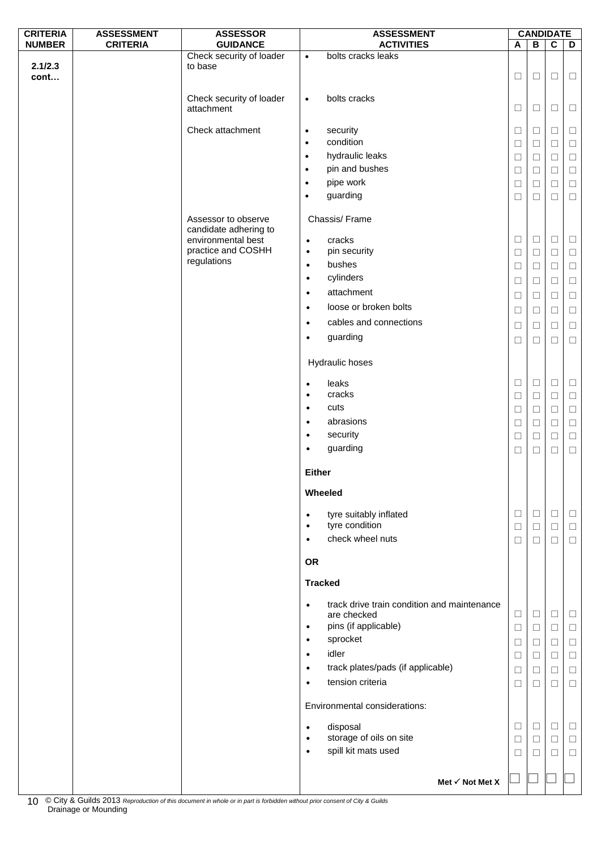| <b>CRITERIA</b> | <b>ASSESSMENT</b> | <b>ASSESSOR</b>                              | <b>ASSESSMENT</b>      |                                             |                  | <b>CANDIDATE</b> |                  |                  |
|-----------------|-------------------|----------------------------------------------|------------------------|---------------------------------------------|------------------|------------------|------------------|------------------|
| <b>NUMBER</b>   | <b>CRITERIA</b>   | <b>GUIDANCE</b>                              |                        | <b>ACTIVITIES</b>                           | A                | В                | $\overline{c}$   | D                |
| 2.1/2.3<br>cont |                   | Check security of loader<br>to base          | $\bullet$              | bolts cracks leaks                          | $\Box$           | $\Box$           | $\Box$           | $\Box$           |
|                 |                   | Check security of loader<br>attachment       | $\bullet$              | bolts cracks                                | $\Box$           | $\Box$           | $\Box$           | $\Box$           |
|                 |                   | Check attachment                             | $\bullet$              | security                                    | $\Box$           | $\Box$           | $\Box$           | $\Box$           |
|                 |                   |                                              | $\bullet$              | condition                                   | ⊔                | □                | $\Box$           | $\Box$           |
|                 |                   |                                              | $\bullet$              | hydraulic leaks                             | $\Box$           | $\Box$           | $\Box$           | $\Box$           |
|                 |                   |                                              | $\bullet$              | pin and bushes                              | $\Box$           | $\Box$           | $\Box$           | $\Box$           |
|                 |                   |                                              | $\bullet$              | pipe work                                   | $\Box$           | □                | $\Box$           | $\Box$           |
|                 |                   |                                              | $\bullet$              | guarding                                    | $\Box$           | $\Box$           | $\Box$           | $\Box$           |
|                 |                   | Assessor to observe<br>candidate adhering to |                        | Chassis/Frame                               |                  |                  |                  |                  |
|                 |                   | environmental best                           | $\bullet$              | cracks                                      | $\Box$           | $\Box$           | $\Box$           | $\Box$           |
|                 |                   | practice and COSHH<br>regulations            | $\bullet$              | pin security<br>bushes                      | $\Box$           | $\Box$           | $\Box$           | $\Box$           |
|                 |                   |                                              | $\bullet$<br>$\bullet$ | cylinders                                   | $\Box$           | $\Box$           | $\Box$           | $\Box$           |
|                 |                   |                                              |                        | attachment                                  | $\Box$           | $\Box$           | $\Box$           | $\Box$           |
|                 |                   |                                              | $\bullet$              | loose or broken bolts                       | $\Box$           | $\Box$           | $\Box$           | $\Box$           |
|                 |                   |                                              | $\bullet$              |                                             | $\Box$           | □                | □                | $\Box$           |
|                 |                   |                                              | $\bullet$              | cables and connections                      | $\Box$           | $\Box$           | $\Box$           | $\Box$           |
|                 |                   |                                              | $\bullet$              | guarding                                    | □                | □                | □                | $\Box$           |
|                 |                   |                                              |                        | Hydraulic hoses                             |                  |                  |                  |                  |
|                 |                   |                                              | $\bullet$<br>$\bullet$ | leaks<br>cracks                             | □                | $\Box$           | $\Box$           | $\Box$           |
|                 |                   |                                              | $\bullet$              | cuts                                        | $\Box$<br>$\Box$ | $\Box$<br>$\Box$ | $\Box$<br>$\Box$ | $\Box$<br>$\Box$ |
|                 |                   |                                              | $\bullet$              | abrasions                                   | $\Box$           | $\Box$           | $\Box$           | $\Box$           |
|                 |                   |                                              | $\bullet$              | security                                    | $\Box$           | $\Box$           | $\Box$           | $\Box$           |
|                 |                   |                                              | $\bullet$              | guarding                                    | $\Box$           | $\Box$           | $\Box$           | $\Box$           |
|                 |                   |                                              |                        |                                             |                  |                  |                  |                  |
|                 |                   |                                              | <b>Either</b>          | Wheeled                                     |                  |                  |                  |                  |
|                 |                   |                                              | $\bullet$<br>$\bullet$ | tyre suitably inflated<br>tyre condition    | ⊔                | $\Box$           | ⊔                | $\Box$           |
|                 |                   |                                              | $\bullet$              | check wheel nuts                            | $\Box$<br>□      | $\Box$<br>$\Box$ | $\Box$<br>$\Box$ | $\Box$<br>$\Box$ |
|                 |                   |                                              |                        |                                             |                  |                  |                  |                  |
|                 |                   |                                              | <b>OR</b>              |                                             |                  |                  |                  |                  |
|                 |                   |                                              |                        | <b>Tracked</b>                              |                  |                  |                  |                  |
|                 |                   |                                              | $\bullet$              | track drive train condition and maintenance |                  |                  |                  |                  |
|                 |                   |                                              |                        | are checked                                 | $\Box$           | $\Box$           | $\Box$           | $\Box$           |
|                 |                   |                                              | $\bullet$              | pins (if applicable)                        | $\Box$           | $\Box$           | $\Box$           | $\Box$           |
|                 |                   |                                              | $\bullet$              | sprocket<br>idler                           | $\Box$           | $\Box$           | $\Box$           | $\Box$           |
|                 |                   |                                              | $\bullet$<br>$\bullet$ | track plates/pads (if applicable)           | $\Box$           | $\Box$           | $\Box$           | $\Box$           |
|                 |                   |                                              | $\bullet$              | tension criteria                            | □<br>$\Box$      | $\Box$<br>$\Box$ | $\Box$<br>$\Box$ | $\Box$<br>$\Box$ |
|                 |                   |                                              |                        | Environmental considerations:               |                  |                  |                  |                  |
|                 |                   |                                              |                        |                                             |                  |                  |                  |                  |
|                 |                   |                                              | $\bullet$<br>$\bullet$ | disposal<br>storage of oils on site         | $\Box$           | $\Box$           | $\Box$           | $\Box$           |
|                 |                   |                                              | $\bullet$              | spill kit mats used                         | $\Box$<br>⊔      | $\Box$<br>⊔      | $\Box$<br>□      | $\Box$<br>$\Box$ |
|                 |                   |                                              |                        |                                             |                  |                  |                  |                  |
|                 |                   |                                              |                        | Met $\checkmark$ Not Met X                  |                  |                  |                  |                  |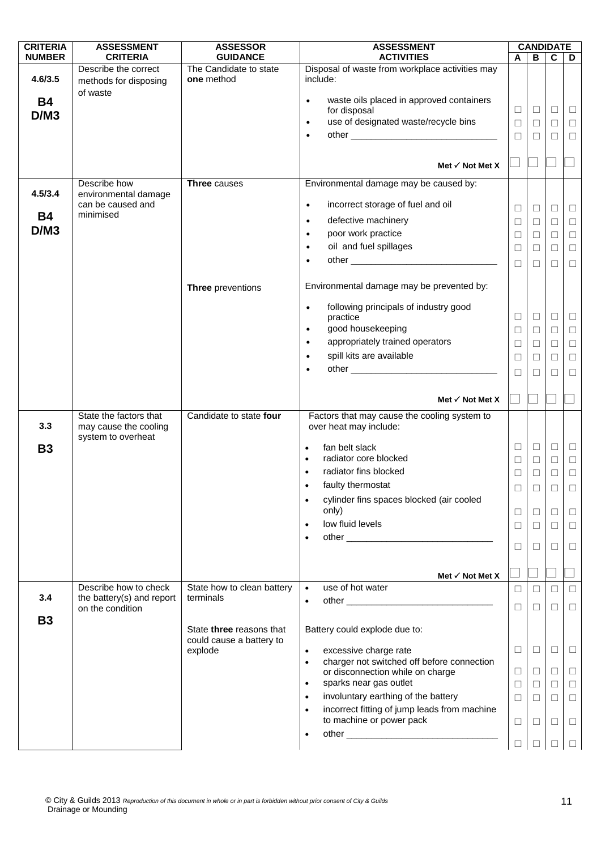| <b>CRITERIA</b><br><b>NUMBER</b> | <b>ASSESSMENT</b><br><b>CRITERIA</b>               | <b>ASSESSOR</b><br><b>GUIDANCE</b>      | <b>ASSESSMENT</b><br><b>ACTIVITIES</b>                                                        | A                | В           | <b>CANDIDATE</b><br>C | D                |
|----------------------------------|----------------------------------------------------|-----------------------------------------|-----------------------------------------------------------------------------------------------|------------------|-------------|-----------------------|------------------|
|                                  | Describe the correct                               | The Candidate to state                  | Disposal of waste from workplace activities may                                               |                  |             |                       |                  |
| 4.6/3.5                          | methods for disposing                              | one method                              | include:                                                                                      |                  |             |                       |                  |
| <b>B4</b>                        | of waste                                           |                                         | waste oils placed in approved containers<br>$\bullet$                                         |                  |             |                       |                  |
| D/M3                             |                                                    |                                         | for disposal<br>use of designated waste/recycle bins<br>$\bullet$                             | $\Box$<br>$\Box$ | $\Box$<br>П | $\Box$<br>$\Box$      | $\Box$<br>$\Box$ |
|                                  |                                                    |                                         | $\bullet$                                                                                     | $\Box$           | $\Box$      | $\Box$                | $\Box$           |
|                                  |                                                    |                                         |                                                                                               |                  |             |                       |                  |
|                                  |                                                    |                                         | Met $\checkmark$ Not Met X                                                                    |                  |             |                       |                  |
| 4.5/3.4                          | Describe how<br>environmental damage               | <b>Three</b> causes                     | Environmental damage may be caused by:                                                        |                  |             |                       |                  |
|                                  | can be caused and                                  |                                         | incorrect storage of fuel and oil<br>$\bullet$                                                | $\Box$           | $\Box$      | □                     | $\Box$           |
| <b>B4</b>                        | minimised                                          |                                         | defective machinery<br>$\bullet$                                                              | $\Box$           | $\Box$      | $\Box$                | $\Box$           |
| D/M3                             |                                                    |                                         | poor work practice<br>$\bullet$                                                               | $\Box$           | □           | □                     | $\Box$           |
|                                  |                                                    |                                         | oil and fuel spillages<br>$\bullet$<br>$\bullet$                                              | $\Box$           | $\Box$      | $\Box$                | $\Box$           |
|                                  |                                                    |                                         |                                                                                               | $\Box$           | $\Box$      | $\Box$                | $\Box$           |
|                                  |                                                    | Three preventions                       | Environmental damage may be prevented by:                                                     |                  |             |                       |                  |
|                                  |                                                    |                                         | following principals of industry good<br>$\bullet$<br>practice                                | $\Box$           | $\Box$      | $\Box$                | $\Box$           |
|                                  |                                                    |                                         | good housekeeping<br>$\bullet$                                                                | $\Box$           | $\Box$      | $\Box$                | $\Box$           |
|                                  |                                                    |                                         | appropriately trained operators<br>$\bullet$                                                  | $\Box$           | □           | $\Box$                | $\Box$           |
|                                  |                                                    |                                         | spill kits are available<br>$\bullet$                                                         | $\Box$           | $\Box$      | $\Box$                | $\Box$           |
|                                  |                                                    |                                         | $\bullet$                                                                                     | $\Box$           | $\Box$      | $\Box$                | $\Box$           |
|                                  |                                                    |                                         | Met $\checkmark$ Not Met X                                                                    |                  |             |                       |                  |
|                                  | State the factors that                             | Candidate to state four                 | Factors that may cause the cooling system to                                                  |                  |             |                       |                  |
| 3.3                              | may cause the cooling                              |                                         | over heat may include:                                                                        |                  |             |                       |                  |
| <b>B3</b>                        | system to overheat                                 |                                         | fan belt slack<br>$\bullet$                                                                   | $\Box$           | $\Box$      | $\Box$                | $\Box$           |
|                                  |                                                    |                                         | radiator core blocked<br>$\bullet$                                                            | $\Box$           | $\Box$      | $\Box$                | $\Box$           |
|                                  |                                                    |                                         | radiator fins blocked<br>$\bullet$                                                            | $\Box$           | $\Box$      | $\Box$                | $\Box$           |
|                                  |                                                    |                                         | faulty thermostat<br>$\bullet$                                                                | $\Box$           | $\Box$      | П                     | $\Box$           |
|                                  |                                                    |                                         | cylinder fins spaces blocked (air cooled<br>$\bullet$<br>only)                                | $\Box$           | $\Box$      | $\Box$                | $\Box$           |
|                                  |                                                    |                                         | low fluid levels<br>$\bullet$                                                                 | $\Box$           | $\Box$      | $\Box$                | $\Box$           |
|                                  |                                                    |                                         | $\bullet$                                                                                     | $\Box$           | ⊔           | □                     | $\sqcup$         |
|                                  |                                                    |                                         |                                                                                               |                  |             |                       |                  |
|                                  |                                                    |                                         | Met $\checkmark$ Not Met X                                                                    |                  |             |                       |                  |
| 3.4                              | Describe how to check<br>the battery(s) and report | State how to clean battery<br>terminals | use of hot water<br>$\bullet$                                                                 | $\Box$           | П           | П                     | $\Box$           |
|                                  | on the condition                                   |                                         | $\bullet$                                                                                     | $\Box$           | $\Box$      | П                     | $\Box$           |
| <b>B3</b>                        |                                                    | State three reasons that                | Battery could explode due to:                                                                 |                  |             |                       |                  |
|                                  |                                                    | could cause a battery to                |                                                                                               |                  |             |                       |                  |
|                                  |                                                    | explode                                 | excessive charge rate<br>$\bullet$<br>charger not switched off before connection<br>$\bullet$ | $\Box$           | $\Box$      | □                     | $\Box$           |
|                                  |                                                    |                                         | or disconnection while on charge                                                              | $\Box$           | ⊔           | $\Box$                | $\Box$           |
|                                  |                                                    |                                         | sparks near gas outlet<br>$\bullet$<br>involuntary earthing of the battery                    | $\Box$           | $\Box$      | $\Box$                | $\Box$           |
|                                  |                                                    |                                         | $\bullet$<br>incorrect fitting of jump leads from machine<br>$\bullet$                        | $\Box$           | $\Box$      | П                     | $\Box$           |
|                                  |                                                    |                                         | to machine or power pack                                                                      | $\Box$           | $\Box$      | $\Box$                | $\Box$           |
|                                  |                                                    |                                         | $\bullet$                                                                                     | $\Box$           |             |                       |                  |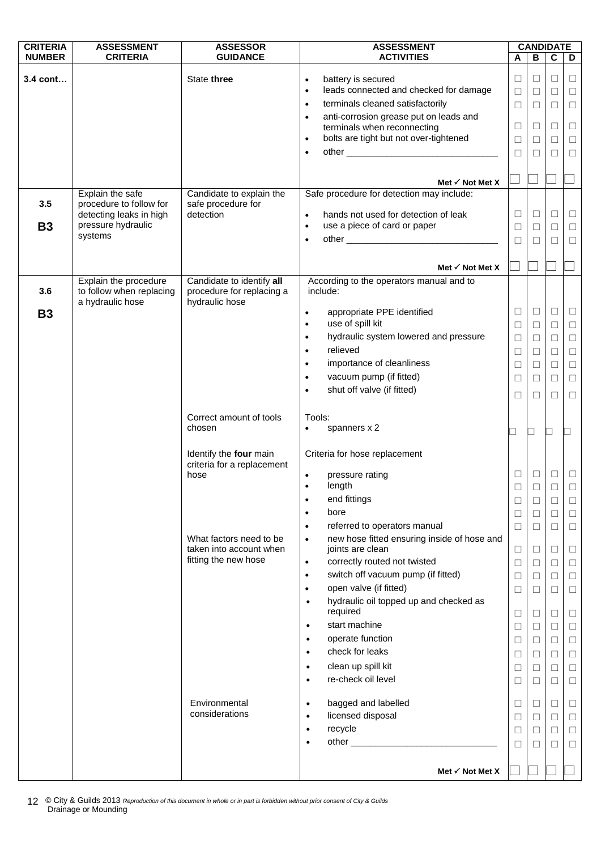| <b>CRITERIA</b> | <b>ASSESSMENT</b>                             | <b>ASSESSOR</b>                                      | <b>ASSESSMENT</b>                                                                              | <b>CANDIDATE</b> |        |             |        |
|-----------------|-----------------------------------------------|------------------------------------------------------|------------------------------------------------------------------------------------------------|------------------|--------|-------------|--------|
| <b>NUMBER</b>   | <b>CRITERIA</b>                               | <b>GUIDANCE</b>                                      | <b>ACTIVITIES</b>                                                                              | A                | В      | $\mathbf c$ | D      |
| $3.4$ cont      |                                               | State three                                          | battery is secured<br>$\bullet$                                                                | $\Box$           | $\Box$ | $\Box$      | $\Box$ |
|                 |                                               |                                                      | leads connected and checked for damage<br>$\bullet$                                            | $\Box$           | $\Box$ | □           | $\Box$ |
|                 |                                               |                                                      | terminals cleaned satisfactorily<br>$\bullet$                                                  | $\Box$           | $\Box$ | $\Box$      | $\Box$ |
|                 |                                               |                                                      | anti-corrosion grease put on leads and<br>$\bullet$                                            |                  |        |             |        |
|                 |                                               |                                                      | terminals when reconnecting                                                                    | $\Box$           | $\Box$ | $\Box$      | $\Box$ |
|                 |                                               |                                                      | bolts are tight but not over-tightened<br>$\bullet$                                            | $\Box$           | $\Box$ | $\Box$      | $\Box$ |
|                 |                                               |                                                      | $\bullet$                                                                                      | $\Box$           | $\Box$ | □           | $\Box$ |
|                 |                                               |                                                      |                                                                                                |                  |        |             |        |
|                 |                                               |                                                      | Met $\checkmark$ Not Met X                                                                     |                  |        |             |        |
|                 | Explain the safe                              | Candidate to explain the                             | Safe procedure for detection may include:                                                      |                  |        |             |        |
| 3.5             | procedure to follow for                       | safe procedure for                                   |                                                                                                | $\Box$           |        |             |        |
| <b>B3</b>       | detecting leaks in high<br>pressure hydraulic | detection                                            | hands not used for detection of leak<br>$\bullet$<br>use a piece of card or paper<br>$\bullet$ |                  | □      | $\Box$      | $\Box$ |
|                 | systems                                       |                                                      | $\bullet$                                                                                      | $\Box$           | $\Box$ | $\Box$      | $\Box$ |
|                 |                                               |                                                      |                                                                                                | $\Box$           | $\Box$ | $\Box$      | $\Box$ |
|                 |                                               |                                                      | Met $\checkmark$ Not Met X                                                                     |                  |        |             |        |
|                 | Explain the procedure                         | Candidate to identify all                            | According to the operators manual and to                                                       |                  |        |             |        |
| 3.6             | to follow when replacing<br>a hydraulic hose  | procedure for replacing a<br>hydraulic hose          | include:                                                                                       |                  |        |             |        |
| <b>B3</b>       |                                               |                                                      | appropriate PPE identified<br>$\bullet$                                                        | $\Box$           | $\Box$ | $\Box$      | $\Box$ |
|                 |                                               |                                                      | use of spill kit<br>$\bullet$                                                                  | □                | □      | $\Box$      | $\Box$ |
|                 |                                               |                                                      | hydraulic system lowered and pressure<br>$\bullet$                                             | $\Box$           | $\Box$ | $\Box$      | $\Box$ |
|                 |                                               |                                                      | relieved<br>$\bullet$                                                                          | $\Box$           | $\Box$ | $\Box$      | $\Box$ |
|                 |                                               |                                                      | importance of cleanliness<br>$\bullet$                                                         | $\Box$           | $\Box$ | $\Box$      | $\Box$ |
|                 |                                               |                                                      | vacuum pump (if fitted)<br>$\bullet$                                                           | $\Box$           | $\Box$ | $\Box$      | $\Box$ |
|                 |                                               |                                                      | shut off valve (if fitted)<br>$\bullet$                                                        | $\Box$           | □      | □           | $\Box$ |
|                 |                                               |                                                      |                                                                                                |                  |        |             |        |
|                 |                                               | Correct amount of tools                              | Tools:                                                                                         |                  |        |             |        |
|                 |                                               | chosen                                               | spanners x 2<br>٠                                                                              | $\Box$           | コ      | ┙           |        |
|                 |                                               | Identify the four main<br>criteria for a replacement | Criteria for hose replacement                                                                  |                  |        |             |        |
|                 |                                               | hose                                                 | pressure rating                                                                                | $\Box$           | $\Box$ | $\Box$      | $\Box$ |
|                 |                                               |                                                      | length<br>$\bullet$                                                                            | $\Box$           | $\Box$ | $\Box$      | $\Box$ |
|                 |                                               |                                                      | end fittings                                                                                   | □                | □      | □           | ⊔      |
|                 |                                               |                                                      | bore<br>$\bullet$                                                                              | $\Box$           | $\Box$ | $\Box$      | $\Box$ |
|                 |                                               |                                                      | referred to operators manual<br>$\bullet$                                                      | $\Box$           | □      | $\Box$      | $\Box$ |
|                 |                                               | What factors need to be                              | new hose fitted ensuring inside of hose and<br>$\bullet$                                       |                  |        |             |        |
|                 |                                               | taken into account when                              | joints are clean                                                                               | $\Box$           | $\Box$ | $\Box$      | $\Box$ |
|                 |                                               | fitting the new hose                                 | correctly routed not twisted<br>$\bullet$                                                      | $\Box$           | $\Box$ | □           | $\Box$ |
|                 |                                               |                                                      | switch off vacuum pump (if fitted)<br>$\bullet$                                                | $\Box$           | $\Box$ | □           | $\Box$ |
|                 |                                               |                                                      | open valve (if fitted)<br>$\bullet$                                                            | $\Box$           | $\Box$ | $\Box$      | $\Box$ |
|                 |                                               |                                                      | hydraulic oil topped up and checked as<br>$\bullet$                                            |                  |        |             |        |
|                 |                                               |                                                      | required                                                                                       | $\Box$           | $\Box$ | $\Box$      | $\Box$ |
|                 |                                               |                                                      | start machine<br>$\bullet$                                                                     | $\Box$           | □      | $\Box$      | $\Box$ |
|                 |                                               |                                                      | operate function<br>$\bullet$                                                                  | $\Box$           | $\Box$ | $\Box$      | $\Box$ |
|                 |                                               |                                                      | check for leaks<br>$\bullet$                                                                   | $\Box$           | □      | □           | $\Box$ |
|                 |                                               |                                                      | clean up spill kit<br>$\bullet$                                                                | $\Box$           | $\Box$ | $\Box$      | $\Box$ |
|                 |                                               |                                                      | re-check oil level<br>$\bullet$                                                                | $\Box$           | $\Box$ | $\Box$      | $\Box$ |
|                 |                                               | Environmental                                        | bagged and labelled<br>$\bullet$                                                               | $\Box$           | $\Box$ | $\Box$      | $\Box$ |
|                 |                                               | considerations                                       | licensed disposal<br>$\bullet$                                                                 | $\Box$           | $\Box$ | $\Box$      | $\Box$ |
|                 |                                               |                                                      | recycle<br>$\bullet$                                                                           | $\Box$           | $\Box$ | $\Box$      | $\Box$ |
|                 |                                               |                                                      |                                                                                                | $\Box$           | □      | $\Box$      | $\Box$ |
|                 |                                               |                                                      |                                                                                                |                  |        |             |        |
|                 |                                               |                                                      | Met $\checkmark$ Not Met X                                                                     |                  |        |             |        |

© City & Guilds 2013 *Reproduction of this document in whole or in part is forbidden without prior consent of City & Guilds* 12 © City & Guilds 2013 R<br>Drainage or Mounding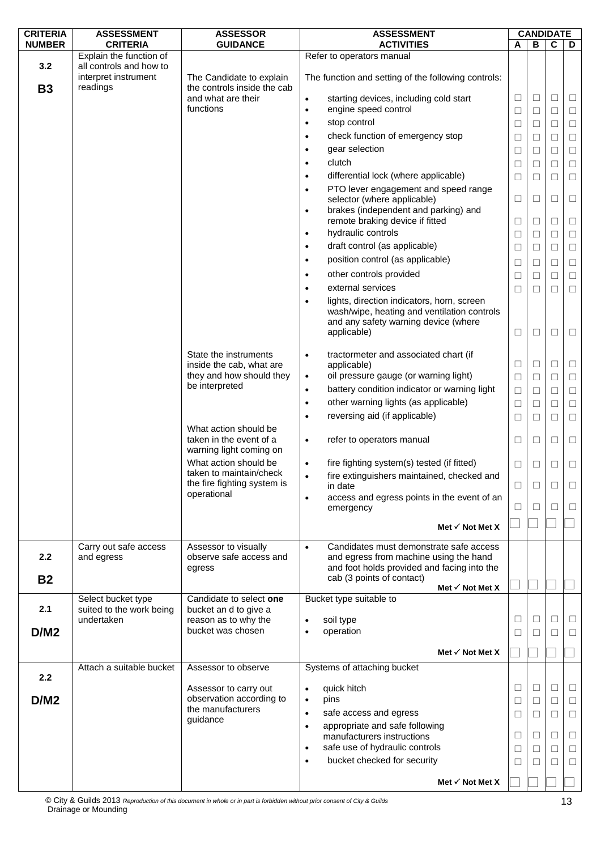| <b>CRITERIA</b>  | <b>ASSESSMENT</b>                                           | <b>ASSESSOR</b>                                                             | <b>ASSESSMENT</b>                                                                                                                                                          | <b>CANDIDATE</b> |        |              |        |
|------------------|-------------------------------------------------------------|-----------------------------------------------------------------------------|----------------------------------------------------------------------------------------------------------------------------------------------------------------------------|------------------|--------|--------------|--------|
| <b>NUMBER</b>    | <b>CRITERIA</b>                                             | <b>GUIDANCE</b>                                                             | <b>ACTIVITIES</b>                                                                                                                                                          | A                | B      | C            | D      |
|                  | Explain the function of                                     |                                                                             | Refer to operators manual                                                                                                                                                  |                  |        |              |        |
| 3.2<br><b>B3</b> | all controls and how to<br>interpret instrument<br>readings | The Candidate to explain<br>the controls inside the cab                     | The function and setting of the following controls:                                                                                                                        |                  |        |              |        |
|                  |                                                             | and what are their                                                          | starting devices, including cold start<br>$\bullet$                                                                                                                        | $\Box$           | □      | $\Box$       | $\Box$ |
|                  |                                                             | functions                                                                   | engine speed control<br>$\bullet$                                                                                                                                          | □                | $\Box$ | $\Box$       | $\Box$ |
|                  |                                                             |                                                                             | stop control<br>$\bullet$                                                                                                                                                  | $\Box$           | $\Box$ | $\Box$       | $\Box$ |
|                  |                                                             |                                                                             | check function of emergency stop<br>$\bullet$                                                                                                                              | ⊔                | $\Box$ | $\Box$       | $\Box$ |
|                  |                                                             |                                                                             | gear selection<br>$\bullet$                                                                                                                                                | □                | $\Box$ | $\Box$       | $\Box$ |
|                  |                                                             |                                                                             | clutch<br>$\bullet$                                                                                                                                                        | □                | □      | $\Box$       | $\Box$ |
|                  |                                                             |                                                                             | differential lock (where applicable)<br>$\bullet$                                                                                                                          | $\Box$           | $\Box$ | $\Box$       | $\Box$ |
|                  |                                                             |                                                                             | PTO lever engagement and speed range<br>$\bullet$                                                                                                                          |                  |        |              |        |
|                  |                                                             |                                                                             | selector (where applicable)                                                                                                                                                | □                | $\Box$ | $\Box$       | $\Box$ |
|                  |                                                             |                                                                             | brakes (independent and parking) and<br>$\bullet$                                                                                                                          |                  |        |              |        |
|                  |                                                             |                                                                             | remote braking device if fitted                                                                                                                                            | □                | $\Box$ | $\Box$       | $\Box$ |
|                  |                                                             |                                                                             | hydraulic controls<br>$\bullet$                                                                                                                                            | ⊔                | □      | □            | $\Box$ |
|                  |                                                             |                                                                             | draft control (as applicable)<br>$\bullet$                                                                                                                                 | $\Box$           | $\Box$ | $\Box$       | $\Box$ |
|                  |                                                             |                                                                             | position control (as applicable)<br>$\bullet$                                                                                                                              | $\Box$           | $\Box$ | $\Box$       | $\Box$ |
|                  |                                                             |                                                                             | other controls provided<br>$\bullet$                                                                                                                                       | $\Box$           | $\Box$ | $\Box$       | $\Box$ |
|                  |                                                             |                                                                             | external services<br>٠                                                                                                                                                     | $\Box$           | $\Box$ | $\Box$       | $\Box$ |
|                  |                                                             |                                                                             | lights, direction indicators, horn, screen                                                                                                                                 |                  |        |              |        |
|                  |                                                             |                                                                             | wash/wipe, heating and ventilation controls<br>and any safety warning device (where<br>applicable)                                                                         | $\Box$           | $\Box$ | $\Box$       | $\Box$ |
|                  |                                                             |                                                                             |                                                                                                                                                                            |                  |        |              |        |
|                  |                                                             | State the instruments                                                       | tractormeter and associated chart (if<br>$\bullet$                                                                                                                         |                  |        |              |        |
|                  |                                                             | inside the cab, what are<br>they and how should they                        | applicable)<br>oil pressure gauge (or warning light)                                                                                                                       | □                | □      | $\Box$       | $\Box$ |
|                  |                                                             | be interpreted                                                              | $\bullet$                                                                                                                                                                  | $\Box$           | $\Box$ | $\Box$       | $\Box$ |
|                  |                                                             |                                                                             | battery condition indicator or warning light<br>$\bullet$                                                                                                                  | $\Box$           | $\Box$ | $\Box$       | $\Box$ |
|                  |                                                             |                                                                             | other warning lights (as applicable)<br>$\bullet$                                                                                                                          | $\Box$           | $\Box$ | $\Box$       | $\Box$ |
|                  |                                                             |                                                                             | reversing aid (if applicable)<br>$\bullet$                                                                                                                                 | □                | $\Box$ | $\Box$       | $\Box$ |
|                  |                                                             | What action should be<br>taken in the event of a<br>warning light coming on | refer to operators manual<br>$\bullet$                                                                                                                                     | ⊔                | □      | ⊔            | □      |
|                  |                                                             | What action should be                                                       | fire fighting system(s) tested (if fitted)<br>$\bullet$                                                                                                                    | □                | □      | □            | $\Box$ |
|                  |                                                             | taken to maintain/check                                                     | fire extinguishers maintained, checked and<br>$\bullet$                                                                                                                    |                  |        |              |        |
|                  |                                                             | the fire fighting system is<br>operational                                  | in date                                                                                                                                                                    | ⊔                | □      | $\mathsf{L}$ |        |
|                  |                                                             |                                                                             | access and egress points in the event of an<br>$\bullet$                                                                                                                   | ⊔                | Ш      | $\mathsf{L}$ | ⊔      |
|                  |                                                             |                                                                             | emergency                                                                                                                                                                  |                  |        |              |        |
|                  |                                                             |                                                                             | Met $\checkmark$ Not Met X                                                                                                                                                 |                  |        |              |        |
| 2.2<br><b>B2</b> | Carry out safe access<br>and egress                         | Assessor to visually<br>observe safe access and<br>egress                   | Candidates must demonstrate safe access<br>$\bullet$<br>and egress from machine using the hand<br>and foot holds provided and facing into the<br>cab (3 points of contact) |                  |        |              |        |
|                  | Select bucket type                                          | Candidate to select one                                                     | Met $\checkmark$ Not Met X<br>Bucket type suitable to                                                                                                                      |                  |        |              |        |
| 2.1              | suited to the work being                                    | bucket an d to give a                                                       |                                                                                                                                                                            |                  |        |              |        |
|                  | undertaken                                                  | reason as to why the                                                        | soil type                                                                                                                                                                  | $\Box$           | □      | $\Box$       | □      |
| D/M2             |                                                             | bucket was chosen                                                           | operation<br>$\bullet$                                                                                                                                                     | $\Box$           | $\Box$ | П            | □      |
|                  |                                                             |                                                                             |                                                                                                                                                                            |                  |        |              |        |
|                  |                                                             |                                                                             | Met $\checkmark$ Not Met X                                                                                                                                                 |                  |        |              |        |
|                  | Attach a suitable bucket                                    | Assessor to observe                                                         | Systems of attaching bucket                                                                                                                                                |                  |        |              |        |
| 2.2              |                                                             |                                                                             | quick hitch                                                                                                                                                                | □                | $\Box$ | $\Box$       | □      |
| D/M2             |                                                             | Assessor to carry out<br>observation according to                           | $\bullet$<br>pins<br>$\bullet$                                                                                                                                             |                  |        |              |        |
|                  |                                                             | the manufacturers                                                           | safe access and egress<br>$\bullet$                                                                                                                                        | $\Box$           | $\Box$ | $\Box$       | $\Box$ |
|                  |                                                             | guidance                                                                    | appropriate and safe following<br>$\bullet$                                                                                                                                | $\Box$           | □      | $\Box$       | $\Box$ |
|                  |                                                             |                                                                             | manufacturers instructions                                                                                                                                                 | □                | □      | $\Box$       | □      |
|                  |                                                             |                                                                             | safe use of hydraulic controls<br>$\bullet$                                                                                                                                | ⊔                | □      | $\Box$       | $\Box$ |
|                  |                                                             |                                                                             | bucket checked for security<br>$\bullet$                                                                                                                                   | $\Box$           | □      | $\Box$       | $\Box$ |
|                  |                                                             |                                                                             |                                                                                                                                                                            |                  |        |              |        |
|                  |                                                             |                                                                             | Met $\checkmark$ Not Met X                                                                                                                                                 |                  |        |              |        |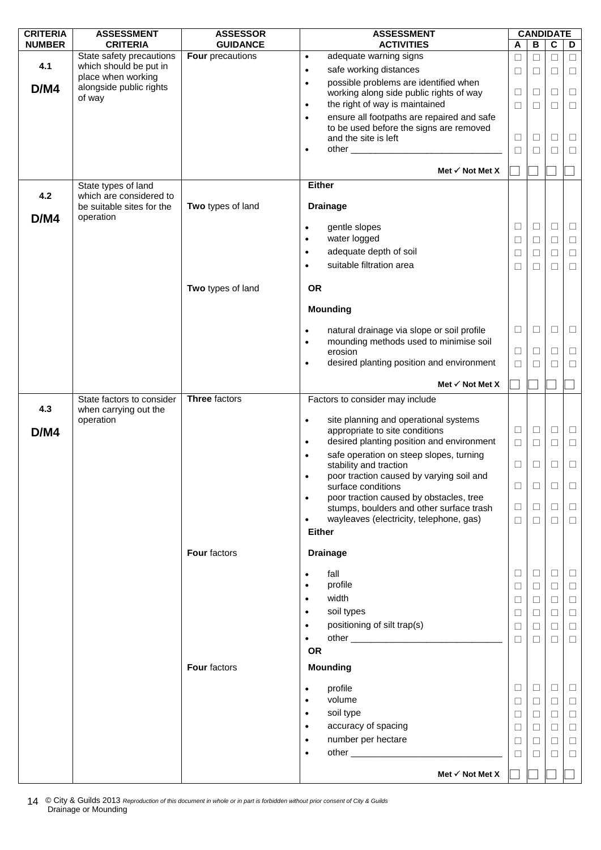| <b>CRITERIA</b> | <b>ASSESSMENT</b>                            | <b>ASSESSOR</b>      | <b>ASSESSMENT</b>                                                                                      | <b>CANDIDATE</b> |        |        |        |
|-----------------|----------------------------------------------|----------------------|--------------------------------------------------------------------------------------------------------|------------------|--------|--------|--------|
| <b>NUMBER</b>   | <b>CRITERIA</b>                              | <b>GUIDANCE</b>      | <b>ACTIVITIES</b>                                                                                      | A                | в      | C      | D      |
|                 | State safety precautions                     | Four precautions     | adequate warning signs<br>$\bullet$                                                                    | $\Box$           | $\Box$ | $\Box$ | $\Box$ |
| 4.1             | which should be put in<br>place when working |                      | safe working distances<br>$\bullet$                                                                    | $\Box$           | ⊔      | □      | □      |
| D/M4            | alongside public rights                      |                      | possible problems are identified when<br>$\bullet$                                                     |                  |        |        |        |
|                 | of way                                       |                      | working along side public rights of way                                                                | $\Box$           | □      | $\Box$ | $\Box$ |
|                 |                                              |                      | the right of way is maintained<br>$\bullet$                                                            | $\Box$           | $\Box$ | $\Box$ | $\Box$ |
|                 |                                              |                      | ensure all footpaths are repaired and safe<br>$\bullet$                                                |                  |        |        |        |
|                 |                                              |                      | to be used before the signs are removed<br>and the site is left                                        | Ц                | ⊔      | ⊔      | Ц      |
|                 |                                              |                      | ٠                                                                                                      | $\Box$           | □      | $\Box$ | $\Box$ |
|                 |                                              |                      |                                                                                                        |                  |        |        |        |
|                 |                                              |                      | Met $\checkmark$ Not Met X                                                                             |                  |        |        |        |
|                 | State types of land                          |                      | <b>Either</b>                                                                                          |                  |        |        |        |
| 4.2             | which are considered to                      |                      |                                                                                                        |                  |        |        |        |
|                 | be suitable sites for the                    | Two types of land    | <b>Drainage</b>                                                                                        |                  |        |        |        |
| D/M4            | operation                                    |                      | gentle slopes<br>٠                                                                                     | $\Box$           | $\Box$ | $\Box$ | $\Box$ |
|                 |                                              |                      | water logged<br>$\bullet$                                                                              | ⊔                | □      | □      | $\Box$ |
|                 |                                              |                      | adequate depth of soil<br>$\bullet$                                                                    |                  |        |        |        |
|                 |                                              |                      | suitable filtration area                                                                               | $\Box$           | □      | $\Box$ | $\Box$ |
|                 |                                              |                      | ٠                                                                                                      | $\Box$           | □      | П      | $\Box$ |
|                 |                                              | Two types of land    | <b>OR</b>                                                                                              |                  |        |        |        |
|                 |                                              |                      |                                                                                                        |                  |        |        |        |
|                 |                                              |                      | <b>Mounding</b>                                                                                        |                  |        |        |        |
|                 |                                              |                      |                                                                                                        | □                | □      | $\Box$ | $\Box$ |
|                 |                                              |                      | natural drainage via slope or soil profile<br>٠<br>mounding methods used to minimise soil<br>$\bullet$ |                  |        |        |        |
|                 |                                              |                      | erosion                                                                                                | $\Box$           | ⊔      | □      | □      |
|                 |                                              |                      | desired planting position and environment<br>$\bullet$                                                 | □                |        | П      | $\Box$ |
|                 |                                              |                      |                                                                                                        |                  |        |        |        |
|                 |                                              |                      | Met $\checkmark$ Not Met X                                                                             |                  |        |        |        |
|                 | State factors to consider                    | <b>Three factors</b> | Factors to consider may include                                                                        |                  |        |        |        |
| 4.3             | when carrying out the                        |                      |                                                                                                        |                  |        |        |        |
|                 | operation                                    |                      | site planning and operational systems<br>$\bullet$<br>appropriate to site conditions                   | $\Box$           | $\Box$ | $\Box$ | $\Box$ |
| D/M4            |                                              |                      | desired planting position and environment<br>$\bullet$                                                 | $\Box$           | $\Box$ | $\Box$ | $\Box$ |
|                 |                                              |                      | safe operation on steep slopes, turning<br>$\bullet$                                                   |                  |        |        |        |
|                 |                                              |                      | stability and traction                                                                                 | ⊔                | ⊔      | ⊔      | $\Box$ |
|                 |                                              |                      | poor traction caused by varying soil and<br>$\bullet$                                                  |                  |        |        |        |
|                 |                                              |                      | surface conditions                                                                                     | $\Box$           | □      | □      | □      |
|                 |                                              |                      | poor traction caused by obstacles, tree<br>$\bullet$                                                   |                  |        |        |        |
|                 |                                              |                      | stumps, boulders and other surface trash                                                               | $\Box$           | $\Box$ | $\Box$ | $\Box$ |
|                 |                                              |                      | wayleaves (electricity, telephone, gas)<br>$\bullet$                                                   | $\Box$           | $\Box$ | $\Box$ | $\Box$ |
|                 |                                              |                      | <b>Either</b>                                                                                          |                  |        |        |        |
|                 |                                              | <b>Four factors</b>  | <b>Drainage</b>                                                                                        |                  |        |        |        |
|                 |                                              |                      |                                                                                                        |                  |        |        |        |
|                 |                                              |                      | fall<br>$\bullet$                                                                                      | ⊔                | ⊔      | ⊔      | $\Box$ |
|                 |                                              |                      | profile                                                                                                | $\Box$           | □      | $\Box$ | $\Box$ |
|                 |                                              |                      | width<br>٠                                                                                             | □                | ⊔      | □      | $\Box$ |
|                 |                                              |                      | soil types<br>٠                                                                                        | $\Box$           | ⊔      | $\Box$ | $\Box$ |
|                 |                                              |                      | positioning of silt trap(s)<br>$\bullet$                                                               | $\Box$           | ⊔      | □      | $\Box$ |
|                 |                                              |                      |                                                                                                        | □                | □      | □      | $\Box$ |
|                 |                                              |                      | <b>OR</b>                                                                                              |                  |        |        |        |
|                 |                                              | Four factors         | <b>Mounding</b>                                                                                        |                  |        |        |        |
|                 |                                              |                      |                                                                                                        |                  |        |        |        |
|                 |                                              |                      | profile<br>٠<br>volume                                                                                 | ⊔                | ⊔      | $\Box$ | $\Box$ |
|                 |                                              |                      |                                                                                                        | $\Box$           | $\Box$ | $\Box$ | $\Box$ |
|                 |                                              |                      | soil type<br>$\bullet$                                                                                 | $\Box$           | □      | $\Box$ | $\Box$ |
|                 |                                              |                      | accuracy of spacing<br>$\bullet$                                                                       | $\Box$           | ⊔      | □      | $\Box$ |
|                 |                                              |                      | number per hectare<br>$\bullet$                                                                        | $\Box$           | $\Box$ | $\Box$ | $\Box$ |
|                 |                                              |                      | $\bullet$                                                                                              | □                | □      | $\Box$ | $\Box$ |
|                 |                                              |                      | Met $\checkmark$ Not Met X                                                                             |                  |        |        |        |
|                 |                                              |                      |                                                                                                        |                  |        |        |        |

© City & Guilds 2013 *Reproduction of this document in whole or in part is forbidden without prior consent of City & Guilds* 14 C City & Guilds 2013 R<br>Drainage or Mounding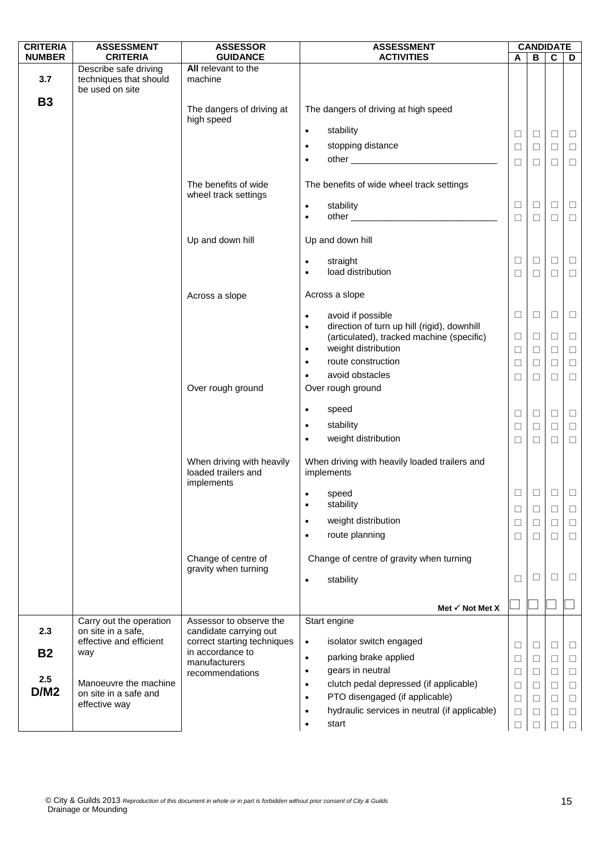| <b>CRITERIA</b>  | <b>ASSESSMENT</b>                                                  | <b>ASSESSOR</b>                                                           | <b>ASSESSMENT</b>                                                                                     | <b>CANDIDATE</b> |        |             |        |
|------------------|--------------------------------------------------------------------|---------------------------------------------------------------------------|-------------------------------------------------------------------------------------------------------|------------------|--------|-------------|--------|
| <b>NUMBER</b>    | <b>CRITERIA</b>                                                    | <b>GUIDANCE</b>                                                           | <b>ACTIVITIES</b>                                                                                     | A                | B      | $\mathbf c$ | D      |
| 3.7              | Describe safe driving<br>techniques that should<br>be used on site | All relevant to the<br>machine                                            |                                                                                                       |                  |        |             |        |
| <b>B3</b>        |                                                                    | The dangers of driving at<br>high speed                                   | The dangers of driving at high speed                                                                  |                  |        |             |        |
|                  |                                                                    |                                                                           | stability<br>$\bullet$                                                                                | $\Box$           | $\Box$ | $\Box$      | $\Box$ |
|                  |                                                                    |                                                                           | stopping distance<br>$\bullet$                                                                        | $\Box$           | $\Box$ | $\Box$      | $\Box$ |
|                  |                                                                    |                                                                           | $\bullet$                                                                                             | $\Box$           | $\Box$ | $\Box$      | $\Box$ |
|                  |                                                                    | The benefits of wide<br>wheel track settings                              | The benefits of wide wheel track settings                                                             |                  |        |             |        |
|                  |                                                                    |                                                                           | stability<br>$\bullet$                                                                                | ⊔                | $\Box$ | $\Box$      | $\Box$ |
|                  |                                                                    |                                                                           | $\bullet$                                                                                             | $\Box$           | $\Box$ | $\Box$      | $\Box$ |
|                  |                                                                    | Up and down hill                                                          | Up and down hill                                                                                      |                  |        |             |        |
|                  |                                                                    |                                                                           | straight<br>$\bullet$                                                                                 | $\Box$           | $\Box$ | $\Box$      | $\Box$ |
|                  |                                                                    |                                                                           | load distribution<br>$\bullet$                                                                        | $\Box$           | $\Box$ | $\Box$      | $\Box$ |
|                  |                                                                    | Across a slope                                                            | Across a slope                                                                                        |                  |        |             |        |
|                  |                                                                    |                                                                           | avoid if possible<br>$\bullet$                                                                        | $\Box$           | $\Box$ | $\Box$      | $\Box$ |
|                  |                                                                    |                                                                           | direction of turn up hill (rigid), downhill<br>$\bullet$<br>(articulated), tracked machine (specific) | Ц                | $\Box$ | $\Box$      | □      |
|                  |                                                                    |                                                                           | weight distribution<br>$\bullet$                                                                      | $\Box$           | $\Box$ | $\Box$      | $\Box$ |
|                  |                                                                    |                                                                           | route construction<br>$\bullet$                                                                       | $\Box$           | $\Box$ | $\Box$      | $\Box$ |
|                  |                                                                    |                                                                           | avoid obstacles<br>٠                                                                                  | ⊔                | $\Box$ | □           | $\Box$ |
|                  |                                                                    | Over rough ground                                                         | Over rough ground                                                                                     |                  |        |             |        |
|                  |                                                                    |                                                                           | speed<br>$\bullet$                                                                                    | $\Box$           | $\Box$ | $\Box$      | $\Box$ |
|                  |                                                                    |                                                                           | stability<br>$\bullet$                                                                                | □                | $\Box$ | $\Box$      | $\Box$ |
|                  |                                                                    |                                                                           | weight distribution<br>$\bullet$                                                                      | $\Box$           | $\Box$ | $\Box$      | $\Box$ |
|                  |                                                                    | When driving with heavily<br>loaded trailers and<br>implements            | When driving with heavily loaded trailers and<br>implements                                           |                  |        |             |        |
|                  |                                                                    |                                                                           | speed                                                                                                 | $\Box$           | $\Box$ | $\Box$      | $\Box$ |
|                  |                                                                    |                                                                           | stability<br>$\bullet$                                                                                | ⊔                | $\Box$ | ⊔           | ⊔      |
|                  |                                                                    |                                                                           | weight distribution<br>$\bullet$                                                                      | $\Box$           | $\Box$ | $\Box$      | $\Box$ |
|                  |                                                                    |                                                                           | route planning<br>$\bullet$                                                                           | ⊔                | □      | □           | $\Box$ |
|                  |                                                                    | Change of centre of<br>gravity when turning                               | Change of centre of gravity when turning                                                              |                  |        |             |        |
|                  |                                                                    |                                                                           | stability<br>$\bullet$                                                                                | ⊔                | $\Box$ | $\Box$      | П      |
|                  |                                                                    |                                                                           | Met $\checkmark$ Not Met X                                                                            |                  |        |             |        |
|                  | Carry out the operation                                            | Assessor to observe the                                                   | Start engine                                                                                          |                  |        |             |        |
| 2.3<br><b>B2</b> | on site in a safe,<br>effective and efficient<br>way               | candidate carrying out<br>correct starting techniques<br>in accordance to | isolator switch engaged<br>$\bullet$                                                                  | $\Box$           | □      | ⊔           | □      |
|                  |                                                                    | manufacturers                                                             | parking brake applied<br>$\bullet$                                                                    | ⊔                | $\Box$ | $\Box$      | □      |
| 2.5              |                                                                    | recommendations                                                           | gears in neutral<br>$\bullet$                                                                         | $\Box$           | $\Box$ | $\Box$      | □      |
| D/M2             | Manoeuvre the machine<br>on site in a safe and                     |                                                                           | clutch pedal depressed (if applicable)<br>$\bullet$<br>PTO disengaged (if applicable)                 | $\Box$           | $\Box$ | $\Box$      | $\Box$ |
|                  | effective way                                                      |                                                                           | $\bullet$<br>hydraulic services in neutral (if applicable)                                            | $\Box$           | $\Box$ | $\Box$      | $\Box$ |
|                  |                                                                    |                                                                           | ٠<br>start<br>$\bullet$                                                                               | ⊔<br>П           | ⊔<br>П |             | ⊔<br>п |
|                  |                                                                    |                                                                           |                                                                                                       |                  |        |             |        |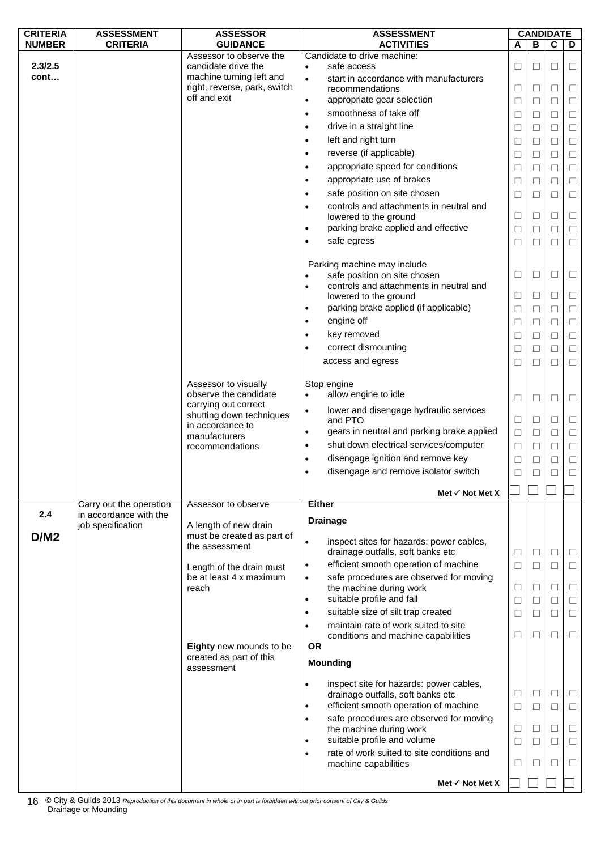| <b>CRITERIA</b> | <b>ASSESSMENT</b>       | <b>ASSESSOR</b>                                          | <b>ASSESSMENT</b> |                                                                    |        |        | <b>CANDIDATE</b> |        |  |
|-----------------|-------------------------|----------------------------------------------------------|-------------------|--------------------------------------------------------------------|--------|--------|------------------|--------|--|
| <b>NUMBER</b>   | <b>CRITERIA</b>         | <b>GUIDANCE</b>                                          |                   | <b>ACTIVITIES</b>                                                  | A      | B      | $\overline{c}$   | D      |  |
|                 |                         | Assessor to observe the                                  |                   | Candidate to drive machine:                                        |        |        |                  |        |  |
| 2.3/2.5<br>cont |                         | candidate drive the                                      | $\bullet$         | safe access                                                        | $\Box$ | □      | □                | $\Box$ |  |
|                 |                         | machine turning left and<br>right, reverse, park, switch | $\bullet$         | start in accordance with manufacturers<br>recommendations          | $\Box$ | $\Box$ | $\Box$           | $\Box$ |  |
|                 |                         | off and exit                                             | $\bullet$         | appropriate gear selection                                         |        |        |                  |        |  |
|                 |                         |                                                          |                   | smoothness of take off                                             | $\Box$ | $\Box$ | $\Box$           | $\Box$ |  |
|                 |                         |                                                          | $\bullet$         |                                                                    | $\Box$ | $\Box$ | $\Box$           | $\Box$ |  |
|                 |                         |                                                          | $\bullet$         | drive in a straight line                                           | $\Box$ | □      | $\Box$           | $\Box$ |  |
|                 |                         |                                                          | $\bullet$         | left and right turn                                                | $\Box$ | $\Box$ | $\Box$           | $\Box$ |  |
|                 |                         |                                                          | $\bullet$         | reverse (if applicable)                                            | $\Box$ | $\Box$ | $\Box$           | $\Box$ |  |
|                 |                         |                                                          | $\bullet$         | appropriate speed for conditions                                   | $\Box$ | $\Box$ | $\Box$           | $\Box$ |  |
|                 |                         |                                                          | $\bullet$         | appropriate use of brakes                                          | $\Box$ | □      | $\Box$           | $\Box$ |  |
|                 |                         |                                                          | $\bullet$         | safe position on site chosen                                       | $\Box$ | □      | □                | $\Box$ |  |
|                 |                         |                                                          | $\bullet$         | controls and attachments in neutral and                            |        |        |                  |        |  |
|                 |                         |                                                          |                   | lowered to the ground                                              | □      | $\Box$ | $\Box$           | $\Box$ |  |
|                 |                         |                                                          | $\bullet$         | parking brake applied and effective                                | $\Box$ | □      | $\Box$           | $\Box$ |  |
|                 |                         |                                                          | $\bullet$         | safe egress                                                        | $\Box$ | □      | $\Box$           | $\Box$ |  |
|                 |                         |                                                          |                   |                                                                    |        |        |                  |        |  |
|                 |                         |                                                          |                   | Parking machine may include                                        |        |        |                  |        |  |
|                 |                         |                                                          |                   | safe position on site chosen                                       | $\Box$ | $\Box$ | $\Box$           | $\Box$ |  |
|                 |                         |                                                          | $\bullet$         | controls and attachments in neutral and                            |        |        |                  |        |  |
|                 |                         |                                                          |                   | lowered to the ground                                              | $\Box$ | $\Box$ | $\Box$           | $\Box$ |  |
|                 |                         |                                                          | $\bullet$         | parking brake applied (if applicable)                              | $\Box$ | □      | □                | $\Box$ |  |
|                 |                         |                                                          | $\bullet$         | engine off                                                         | $\Box$ | $\Box$ | $\Box$           | $\Box$ |  |
|                 |                         |                                                          | $\bullet$         | key removed                                                        | $\Box$ | $\Box$ | $\Box$           | $\Box$ |  |
|                 |                         |                                                          |                   | correct dismounting                                                | $\Box$ | □      | $\Box$           | $\Box$ |  |
|                 |                         |                                                          |                   | access and egress                                                  | $\Box$ | □      | $\Box$           | $\Box$ |  |
|                 |                         |                                                          |                   |                                                                    |        |        |                  |        |  |
|                 |                         | Assessor to visually                                     |                   | Stop engine                                                        |        |        |                  |        |  |
|                 |                         | observe the candidate                                    | $\bullet$         | allow engine to idle                                               | $\Box$ | $\Box$ | □                | $\Box$ |  |
|                 |                         | carrying out correct                                     | $\bullet$         | lower and disengage hydraulic services                             |        |        |                  |        |  |
|                 |                         | shutting down techniques                                 |                   | and PTO                                                            | $\Box$ | $\Box$ | $\Box$           | $\Box$ |  |
|                 |                         | in accordance to<br>manufacturers                        | $\bullet$         | gears in neutral and parking brake applied                         | $\Box$ | $\Box$ | $\Box$           | $\Box$ |  |
|                 |                         | recommendations                                          | $\bullet$         | shut down electrical services/computer                             | $\Box$ | $\Box$ | $\Box$           | $\Box$ |  |
|                 |                         |                                                          | $\bullet$         | disengage ignition and remove key                                  | $\Box$ | □      | $\Box$           | $\Box$ |  |
|                 |                         |                                                          | $\bullet$         | disengage and remove isolator switch                               | $\Box$ | □      | $\Box$           | $\Box$ |  |
|                 |                         |                                                          |                   |                                                                    |        |        |                  |        |  |
|                 |                         |                                                          |                   | Met $\checkmark$ Not Met X                                         |        |        |                  |        |  |
|                 | Carry out the operation | Assessor to observe                                      |                   | <b>Either</b>                                                      |        |        |                  |        |  |
| 2.4             | in accordance with the  |                                                          |                   | <b>Drainage</b>                                                    |        |        |                  |        |  |
|                 | job specification       | A length of new drain<br>must be created as part of      |                   |                                                                    |        |        |                  |        |  |
| D/M2            |                         | the assessment                                           | $\bullet$         | inspect sites for hazards: power cables,                           |        |        |                  |        |  |
|                 |                         |                                                          |                   | drainage outfalls, soft banks etc                                  | Ц      | $\Box$ | $\Box$           | Ц      |  |
|                 |                         | Length of the drain must                                 | $\bullet$         | efficient smooth operation of machine                              | $\Box$ | $\Box$ | $\Box$           | $\Box$ |  |
|                 |                         | be at least 4 x maximum                                  | $\bullet$         | safe procedures are observed for moving                            |        |        |                  |        |  |
|                 |                         | reach                                                    |                   | the machine during work                                            | $\Box$ | $\Box$ | $\Box$           | $\Box$ |  |
|                 |                         |                                                          | $\bullet$         | suitable profile and fall                                          | $\Box$ | $\Box$ | $\Box$           | $\Box$ |  |
|                 |                         |                                                          | $\bullet$         | suitable size of silt trap created                                 | $\Box$ | $\Box$ | $\Box$           | $\Box$ |  |
|                 |                         |                                                          | $\bullet$         | maintain rate of work suited to site                               |        |        |                  |        |  |
|                 |                         |                                                          |                   | conditions and machine capabilities                                | $\Box$ | $\Box$ | $\Box$           | $\Box$ |  |
|                 |                         | Eighty new mounds to be                                  | <b>OR</b>         |                                                                    |        |        |                  |        |  |
|                 |                         | created as part of this<br>assessment                    |                   | <b>Mounding</b>                                                    |        |        |                  |        |  |
|                 |                         |                                                          |                   |                                                                    |        |        |                  |        |  |
|                 |                         |                                                          | $\bullet$         | inspect site for hazards: power cables,                            |        |        |                  |        |  |
|                 |                         |                                                          |                   | drainage outfalls, soft banks etc                                  | □      | $\Box$ | $\Box$           | $\Box$ |  |
|                 |                         |                                                          | $\bullet$         | efficient smooth operation of machine                              | $\Box$ | $\Box$ | $\Box$           | $\Box$ |  |
|                 |                         |                                                          | $\bullet$         | safe procedures are observed for moving                            | $\Box$ | $\Box$ | $\Box$           | $\Box$ |  |
|                 |                         |                                                          | $\bullet$         | the machine during work<br>suitable profile and volume             |        |        | $\Box$           |        |  |
|                 |                         |                                                          |                   |                                                                    | $\Box$ | $\Box$ |                  | $\Box$ |  |
|                 |                         |                                                          | $\bullet$         | rate of work suited to site conditions and<br>machine capabilities | $\Box$ | $\Box$ | □                | □      |  |
|                 |                         |                                                          |                   |                                                                    |        |        |                  |        |  |
|                 |                         |                                                          |                   | Met $\checkmark$ Not Met X                                         |        |        |                  |        |  |

© City & Guilds 2013 *Reproduction of this document in whole or in part is forbidden without prior consent of City & Guilds* 16 © City & Guilds 2013 R<br>Drainage or Mounding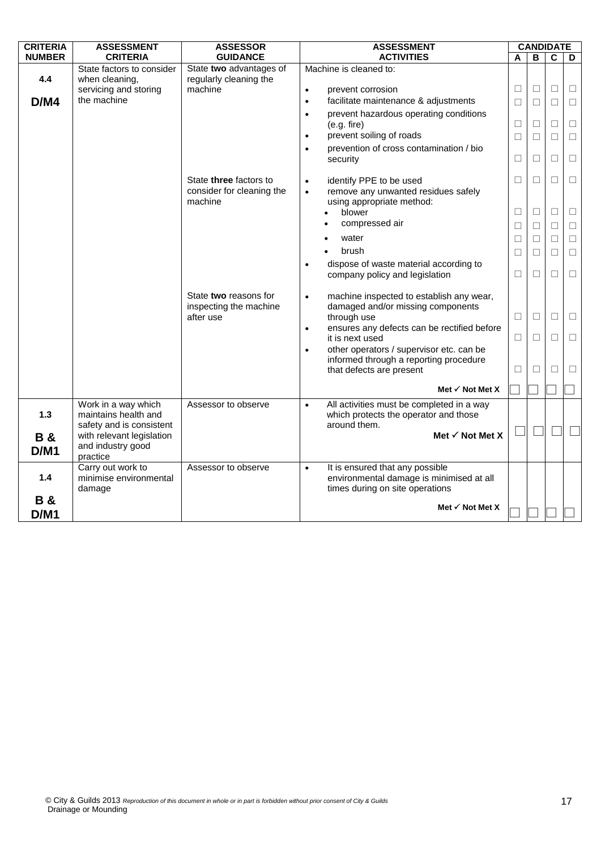| <b>CRITERIA</b>       | <b>ASSESSMENT</b>                                                    | <b>ASSESSOR</b>                                              | <b>ASSESSMENT</b>                                                                               | <b>CANDIDATE</b> |        |                         |                  |
|-----------------------|----------------------------------------------------------------------|--------------------------------------------------------------|-------------------------------------------------------------------------------------------------|------------------|--------|-------------------------|------------------|
| <b>NUMBER</b>         | <b>CRITERIA</b>                                                      | <b>GUIDANCE</b>                                              | <b>ACTIVITIES</b>                                                                               | A                | B      | $\overline{\mathbf{c}}$ | D                |
| 4.4                   | State factors to consider<br>when cleaning,<br>servicing and storing | State two advantages of<br>regularly cleaning the<br>machine | Machine is cleaned to:<br>prevent corrosion<br>$\bullet$                                        | $\Box$           | $\Box$ | $\Box$                  | $\Box$           |
| D/M4                  | the machine                                                          |                                                              | facilitate maintenance & adjustments<br>$\bullet$                                               | □                | $\Box$ | $\Box$                  | $\Box$           |
|                       |                                                                      |                                                              | prevent hazardous operating conditions<br>$\bullet$<br>(e.g. fire)                              | □                | $\Box$ | $\Box$                  | $\Box$           |
|                       |                                                                      |                                                              | prevent soiling of roads<br>$\bullet$                                                           | $\Box$           | $\Box$ | $\Box$                  | $\Box$           |
|                       |                                                                      |                                                              | prevention of cross contamination / bio<br>security                                             | □                | $\Box$ | $\Box$                  | $\Box$           |
|                       |                                                                      | State three factors to                                       | identify PPE to be used<br>$\bullet$                                                            | $\Box$           | $\Box$ | $\Box$                  | $\Box$           |
|                       |                                                                      | consider for cleaning the                                    | remove any unwanted residues safely<br>$\bullet$                                                |                  |        |                         |                  |
|                       |                                                                      | machine                                                      | using appropriate method:                                                                       |                  |        | $\Box$                  |                  |
|                       |                                                                      |                                                              | blower<br>compressed air                                                                        | $\Box$           | $\Box$ |                         | $\Box$           |
|                       |                                                                      |                                                              | water                                                                                           | $\Box$           | $\Box$ | $\Box$                  | $\Box$           |
|                       |                                                                      |                                                              | brush                                                                                           | □                | $\Box$ | $\Box$<br>$\Box$        | $\Box$<br>$\Box$ |
|                       |                                                                      |                                                              | dispose of waste material according to<br>$\bullet$                                             | $\Box$           | $\Box$ |                         |                  |
|                       |                                                                      |                                                              | company policy and legislation                                                                  | □                | $\Box$ | $\Box$                  | $\Box$           |
|                       |                                                                      |                                                              |                                                                                                 |                  |        |                         |                  |
|                       |                                                                      | State two reasons for                                        | machine inspected to establish any wear,<br>$\bullet$                                           |                  |        |                         |                  |
|                       |                                                                      | inspecting the machine<br>after use                          | damaged and/or missing components<br>through use                                                | $\Box$           | $\Box$ | $\Box$                  | $\Box$           |
|                       |                                                                      |                                                              | ensures any defects can be rectified before<br>$\bullet$<br>it is next used                     | $\Box$           | П      | $\Box$                  | $\Box$           |
|                       |                                                                      |                                                              | other operators / supervisor etc. can be<br>$\bullet$                                           |                  |        |                         |                  |
|                       |                                                                      |                                                              | informed through a reporting procedure<br>that defects are present                              | □                | $\Box$ | $\Box$                  | $\Box$           |
|                       |                                                                      |                                                              |                                                                                                 |                  |        |                         |                  |
|                       |                                                                      |                                                              | Met $\checkmark$ Not Met X                                                                      |                  |        |                         |                  |
| 1.3                   | Work in a way which<br>maintains health and                          | Assessor to observe                                          | All activities must be completed in a way<br>$\bullet$<br>which protects the operator and those |                  |        |                         |                  |
|                       | safety and is consistent<br>with relevant legislation                |                                                              | around them.<br>Met $\checkmark$ Not Met X                                                      |                  |        |                         |                  |
| <b>B&amp;</b><br>D/M1 | and industry good<br>practice                                        |                                                              |                                                                                                 |                  |        |                         |                  |
|                       | Carry out work to                                                    | Assessor to observe                                          | It is ensured that any possible<br>$\bullet$                                                    |                  |        |                         |                  |
| $1.4$                 | minimise environmental<br>damage                                     |                                                              | environmental damage is minimised at all<br>times during on site operations                     |                  |        |                         |                  |
| <b>B&amp;</b>         |                                                                      |                                                              |                                                                                                 |                  |        |                         |                  |
| D/M1                  |                                                                      |                                                              | Met $\checkmark$ Not Met X                                                                      |                  |        |                         |                  |